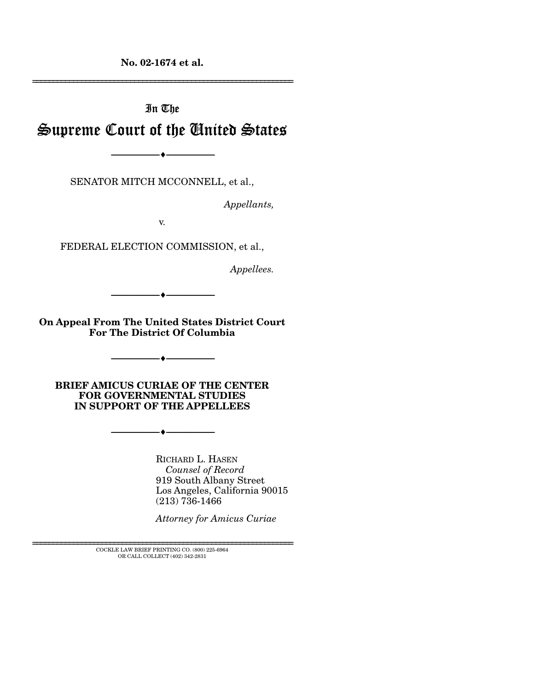**No. 02-1674 et al.** 

# In The Supreme Court of the United States

SENATOR MITCH MCCONNELL, et al.,

----------------------------- ------------------------------

----♦-- -

*Appellants,* 

================================================================

v.

FEDERAL ELECTION COMMISSION, et al.,

*Appellees.* 

**On Appeal From The United States District Court For The District Of Columbia** 

----------------------------- ------------------------------ ----♦-- -

----------------------------- ------------------------------

 $\bullet$   $-$ 

**BRIEF AMICUS CURIAE OF THE CENTER FOR GOVERNMENTAL STUDIES IN SUPPORT OF THE APPELLEES** 

----------------------------- ------------------------------ ----♦-- -

RICHARD L. HASEN *Counsel of Record*  919 South Albany Street Los Angeles, California 90015  $(213) 736 - 1466$ 

*Attorney for Amicus Curiae* 

 ${\rm COCKLE}$  LAW BRIEF PRINTING CO. (800) 225-6964 OR CALL COLLECT (402) 342-2831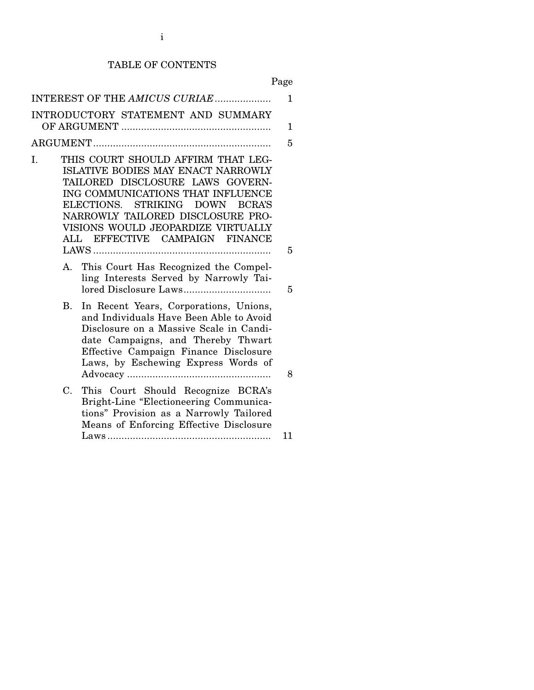# TABLE OF CONTENTS

Page

| INTEREST OF THE AMICUS CURIAE                                                                                                                                                                                                                                                                                               | 1  |
|-----------------------------------------------------------------------------------------------------------------------------------------------------------------------------------------------------------------------------------------------------------------------------------------------------------------------------|----|
| INTRODUCTORY STATEMENT AND SUMMARY                                                                                                                                                                                                                                                                                          | 1  |
|                                                                                                                                                                                                                                                                                                                             | 5  |
| THIS COURT SHOULD AFFIRM THAT LEG-<br>I.<br>ISLATIVE BODIES MAY ENACT NARROWLY<br>TAILORED DISCLOSURE LAWS GOVERN-<br>ING COMMUNICATIONS THAT INFLUENCE<br>ELECTIONS. STRIKING<br><b>DOWN</b><br><b>BCRA'S</b><br>NARROWLY TAILORED DISCLOSURE PRO-<br>VISIONS WOULD JEOPARDIZE VIRTUALLY<br>ALL EFFECTIVE CAMPAIGN FINANCE | 5  |
| $A_{-}$                                                                                                                                                                                                                                                                                                                     |    |
| This Court Has Recognized the Compel-<br>ling Interests Served by Narrowly Tai-                                                                                                                                                                                                                                             | 5  |
| In Recent Years, Corporations, Unions,<br>$\mathbf{B}$ .<br>and Individuals Have Been Able to Avoid<br>Disclosure on a Massive Scale in Candi-<br>date Campaigns, and Thereby Thwart<br>Effective Campaign Finance Disclosure<br>Laws, by Eschewing Express Words of                                                        | 8  |
| $C_{\cdot}$<br>This Court Should Recognize BCRA's<br>Bright-Line "Electioneering Communica-<br>tions" Provision as a Narrowly Tailored<br>Means of Enforcing Effective Disclosure                                                                                                                                           | 11 |
|                                                                                                                                                                                                                                                                                                                             |    |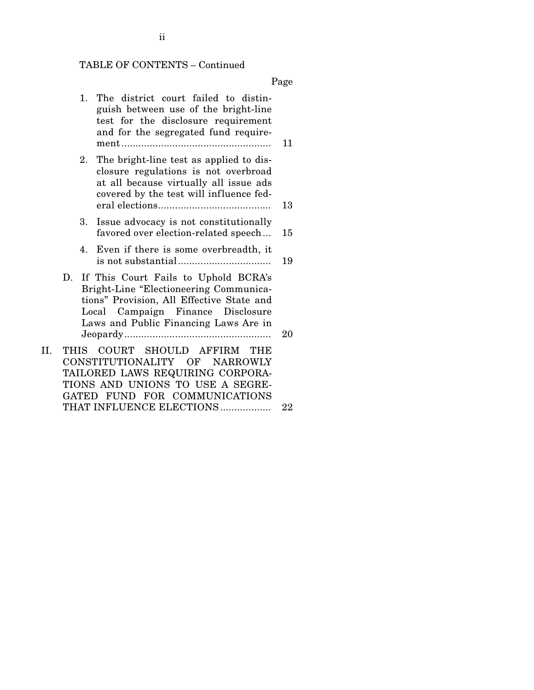# TABLE OF CONTENTS – Continued

Page

|     | 1.   | The district court failed to distin-<br>guish between use of the bright-line<br>test for the disclosure requirement<br>and for the segregated fund require-                                               | 11 |
|-----|------|-----------------------------------------------------------------------------------------------------------------------------------------------------------------------------------------------------------|----|
|     | 2.   | The bright-line test as applied to dis-<br>closure regulations is not overbroad<br>at all because virtually all issue ads<br>covered by the test will influence fed-                                      | 13 |
|     | 3.   | Issue advocacy is not constitutionally<br>favored over election-related speech                                                                                                                            | 15 |
|     | 4.   | Even if there is some overbreadth, it                                                                                                                                                                     | 19 |
|     | D.   | If This Court Fails to Uphold BCRA's<br>Bright-Line "Electioneering Communica-<br>tions" Provision, All Effective State and<br>Local Campaign Finance Disclosure<br>Laws and Public Financing Laws Are in | 20 |
| II. | THIS | COURT SHOULD AFFIRM<br><b>THE</b><br>CONSTITUTIONALITY OF NARROWLY<br>TAILORED LAWS REQUIRING CORPORA-<br>TIONS AND UNIONS TO USE A SEGRE-<br>GATED FUND FOR COMMUNICATIONS                               |    |
|     |      | THAT INFLUENCE ELECTIONS                                                                                                                                                                                  | 22 |

ii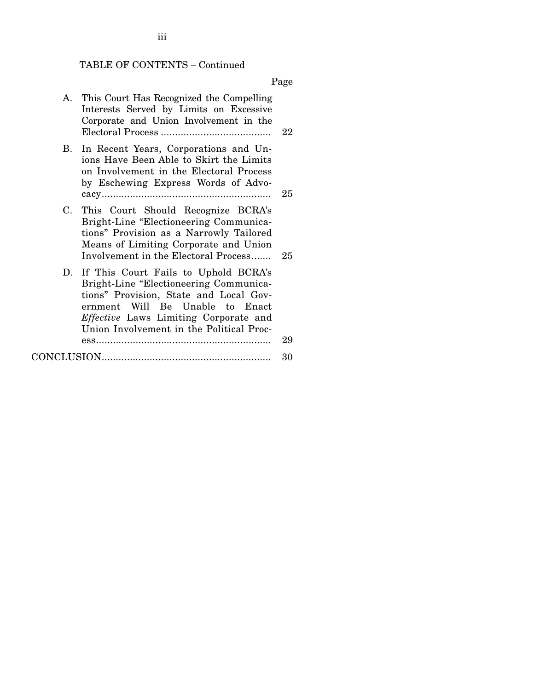# TABLE OF CONTENTS – Continued

Page

| A. | This Court Has Recognized the Compelling<br>Interests Served by Limits on Excessive<br>Corporate and Union Involvement in the                                                                                                                              | 22 |
|----|------------------------------------------------------------------------------------------------------------------------------------------------------------------------------------------------------------------------------------------------------------|----|
| B. | In Recent Years, Corporations and Un-<br>ions Have Been Able to Skirt the Limits<br>on Involvement in the Electoral Process<br>by Eschewing Express Words of Advo-                                                                                         | 25 |
| C. | This Court Should Recognize BCRA's<br>Bright-Line "Electioneering Communica-<br>tions" Provision as a Narrowly Tailored<br>Means of Limiting Corporate and Union<br>Involvement in the Electoral Process                                                   | 25 |
|    | D. If This Court Fails to Uphold BCRA's<br>Bright-Line "Electioneering Communica-<br>tions" Provision, State and Local Gov-<br>ernment Will Be Unable to Enact<br><i>Effective</i> Laws Limiting Corporate and<br>Union Involvement in the Political Proc- | 29 |
|    |                                                                                                                                                                                                                                                            |    |
|    |                                                                                                                                                                                                                                                            | 30 |

# iii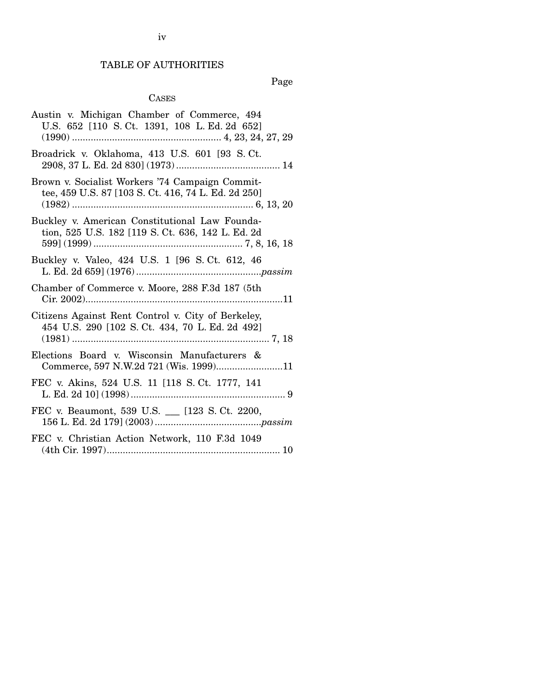# TABLE OF AUTHORITIES

Page

## CASES

| Austin v. Michigan Chamber of Commerce, 494<br>U.S. 652 [110 S.Ct. 1391, 108 L.Ed. 2d 652]             |
|--------------------------------------------------------------------------------------------------------|
| Broadrick v. Oklahoma, 413 U.S. 601 [93 S.Ct.                                                          |
| Brown v. Socialist Workers '74 Campaign Commit-<br>tee, 459 U.S. 87 [103 S. Ct. 416, 74 L. Ed. 2d 250] |
| Buckley v. American Constitutional Law Founda-<br>tion, 525 U.S. 182 [119 S. Ct. 636, 142 L. Ed. 2d    |
| Buckley v. Valeo, 424 U.S. 1 [96 S. Ct. 612, 46                                                        |
| Chamber of Commerce v. Moore, 288 F.3d 187 (5th                                                        |
| Citizens Against Rent Control v. City of Berkeley,<br>454 U.S. 290 [102 S. Ct. 434, 70 L. Ed. 2d 492]  |
| Elections Board v. Wisconsin Manufacturers &<br>Commerce, 597 N.W.2d 721 (Wis. 1999)11                 |
| FEC v. Akins, 524 U.S. 11 [118 S. Ct. 1777, 141]                                                       |
| FEC v. Beaumont, 539 U.S. __ [123 S. Ct. 2200,                                                         |
| FEC v. Christian Action Network, 110 F.3d 1049                                                         |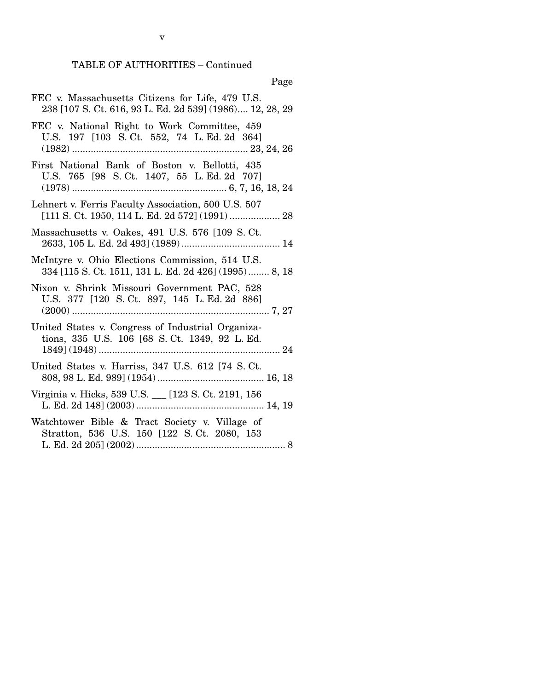v

| FEC v. Massachusetts Citizens for Life, 479 U.S.<br>238 [107 S. Ct. 616, 93 L. Ed. 2d 539] (1986) 12, 28, 29 |
|--------------------------------------------------------------------------------------------------------------|
| FEC v. National Right to Work Committee, 459<br>U.S. 197 [103 S. Ct. 552, 74 L. Ed. 2d 364]                  |
| First National Bank of Boston v. Bellotti, 435<br>U.S. 765 [98 S.Ct. 1407, 55 L.Ed. 2d 707]                  |
| Lehnert v. Ferris Faculty Association, 500 U.S. 507                                                          |
| Massachusetts v. Oakes, 491 U.S. 576 [109 S. Ct.                                                             |
| McIntyre v. Ohio Elections Commission, 514 U.S.<br>334 [115 S. Ct. 1511, 131 L. Ed. 2d 426] (1995) 8, 18     |
| Nixon v. Shrink Missouri Government PAC, 528<br>U.S. 377 [120 S. Ct. 897, 145 L. Ed. 2d 886]                 |
| United States v. Congress of Industrial Organiza-<br>tions, 335 U.S. 106 [68 S. Ct. 1349, 92 L. Ed.          |
| United States v. Harriss, 347 U.S. 612 [74 S.Ct.                                                             |
| Virginia v. Hicks, 539 U.S. __ [123 S. Ct. 2191, 156                                                         |
| Watchtower Bible & Tract Society v. Village of<br>Stratton, 536 U.S. 150 [122 S.Ct. 2080, 153                |
|                                                                                                              |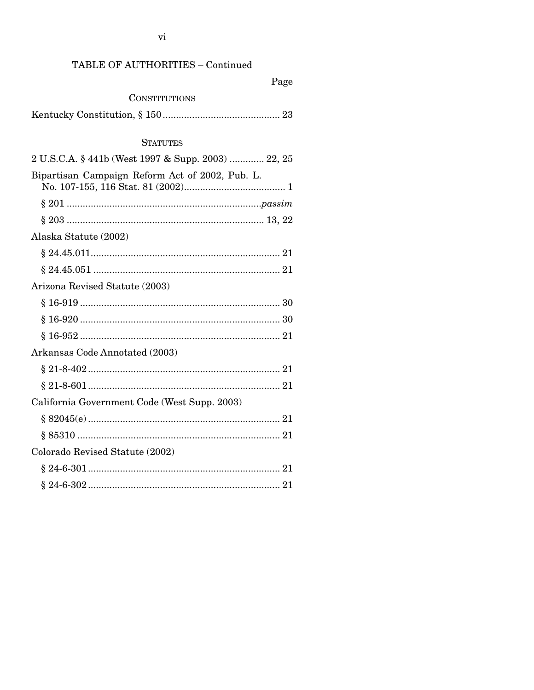# TABLE OF AUTHORITIES - Continued

|--|

### **CONSTITUTIONS**

|--|--|--|

### **STATUTES**

| 2 U.S.C.A. § 441b (West 1997 & Supp. 2003)  22, 25 |
|----------------------------------------------------|
| Bipartisan Campaign Reform Act of 2002, Pub. L.    |
|                                                    |
|                                                    |
| Alaska Statute (2002)                              |
|                                                    |
|                                                    |
| Arizona Revised Statute (2003)                     |
|                                                    |
|                                                    |
|                                                    |
| Arkansas Code Annotated (2003)                     |
|                                                    |
|                                                    |
| California Government Code (West Supp. 2003)       |
|                                                    |
|                                                    |
| Colorado Revised Statute (2002)                    |
|                                                    |
|                                                    |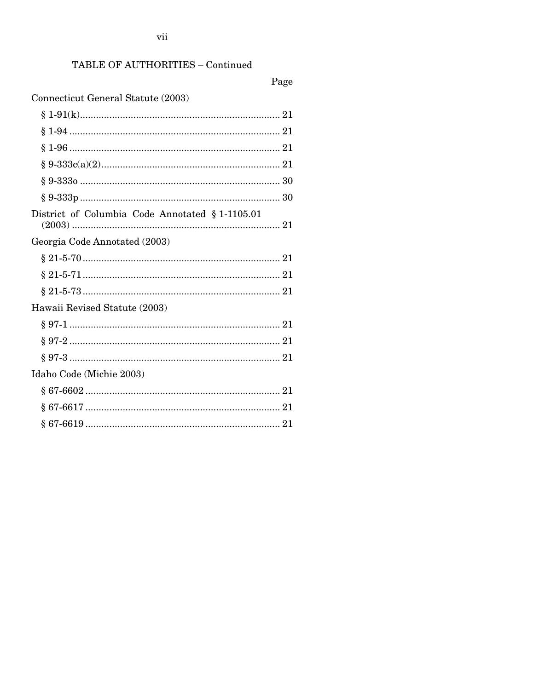# TABLE OF AUTHORITIES - Continued

# Page

# Connecticut General Statute (2003)

| District of Columbia Code Annotated § 1-1105.01 |
|-------------------------------------------------|
| Georgia Code Annotated (2003)                   |
|                                                 |
|                                                 |
|                                                 |
| Hawaii Revised Statute (2003)                   |
|                                                 |
|                                                 |
|                                                 |
| Idaho Code (Michie 2003)                        |
|                                                 |
|                                                 |
|                                                 |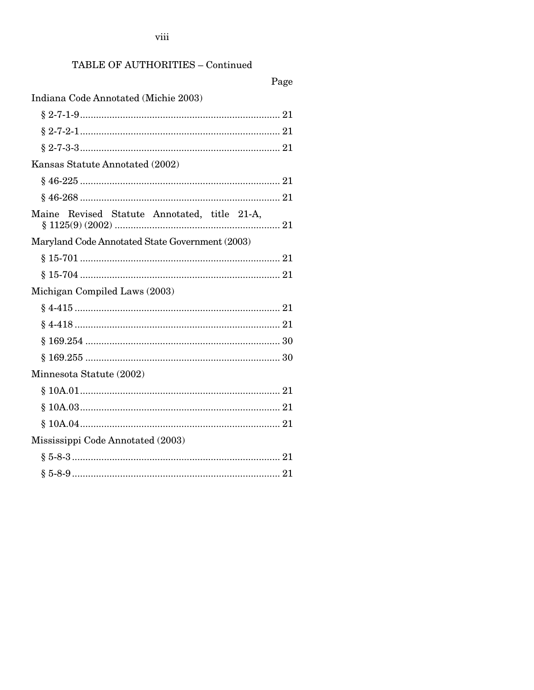viii

# TABLE OF AUTHORITIES - Continued

| Page                                            |
|-------------------------------------------------|
| Indiana Code Annotated (Michie 2003)            |
|                                                 |
|                                                 |
|                                                 |
| Kansas Statute Annotated (2002)                 |
|                                                 |
|                                                 |
| Maine Revised Statute Annotated, title 21-A,    |
| Maryland Code Annotated State Government (2003) |
|                                                 |
|                                                 |
| Michigan Compiled Laws (2003)                   |
|                                                 |
|                                                 |
|                                                 |
|                                                 |
| Minnesota Statute (2002)                        |
|                                                 |
|                                                 |
|                                                 |
| Mississippi Code Annotated (2003)               |
|                                                 |
|                                                 |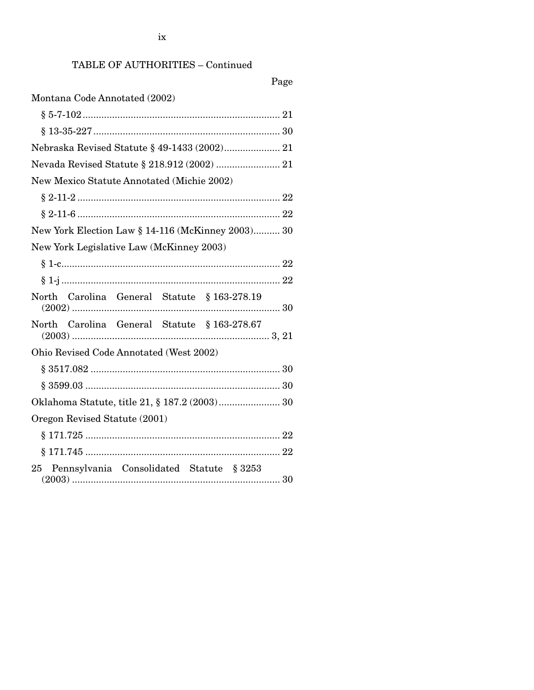ix

# TABLE OF AUTHORITIES – Continued

Page

| Montana Code Annotated (2002)                      |
|----------------------------------------------------|
|                                                    |
|                                                    |
| Nebraska Revised Statute § 49-1433 (2002) 21       |
|                                                    |
| New Mexico Statute Annotated (Michie 2002)         |
|                                                    |
|                                                    |
| New York Election Law § 14-116 (McKinney 2003) 30  |
| New York Legislative Law (McKinney 2003)           |
|                                                    |
|                                                    |
| North Carolina General Statute § 163-278.19        |
| North Carolina General Statute § 163-278.67        |
| Ohio Revised Code Annotated (West 2002)            |
|                                                    |
|                                                    |
|                                                    |
| Oregon Revised Statute (2001)                      |
|                                                    |
| ö                                                  |
| Pennsylvania Consolidated Statute § 3253<br>$25\,$ |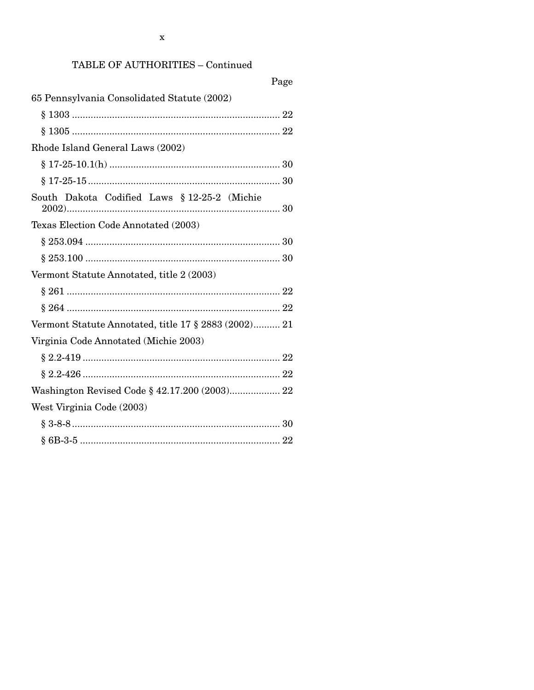# TABLE OF AUTHORITIES - Continued

| Page                                                 |
|------------------------------------------------------|
| 65 Pennsylvania Consolidated Statute (2002)          |
|                                                      |
|                                                      |
| Rhode Island General Laws (2002)                     |
|                                                      |
|                                                      |
| South Dakota Codified Laws § 12-25-2 (Michie         |
| Texas Election Code Annotated (2003)                 |
|                                                      |
|                                                      |
| Vermont Statute Annotated, title 2 (2003)            |
|                                                      |
|                                                      |
| Vermont Statute Annotated, title 17 § 2883 (2002) 21 |
| Virginia Code Annotated (Michie 2003)                |
|                                                      |
|                                                      |
| Washington Revised Code § 42.17.200 (2003) 22        |
| West Virginia Code (2003)                            |
|                                                      |
|                                                      |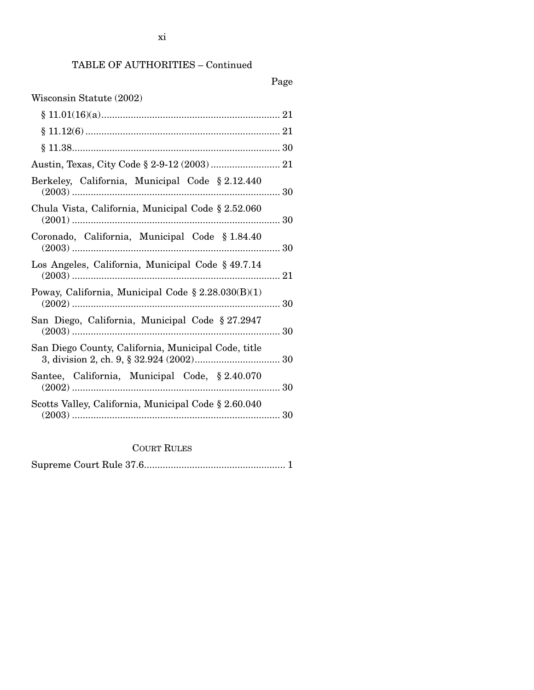# TABLE OF AUTHORITIES – Continued

| Wisconsin Statute (2002)                              |
|-------------------------------------------------------|
|                                                       |
|                                                       |
|                                                       |
|                                                       |
| Berkeley, California, Municipal Code § 2.12.440       |
| Chula Vista, California, Municipal Code § 2.52.060    |
| Coronado, California, Municipal Code § 1.84.40        |
| Los Angeles, California, Municipal Code § 49.7.14     |
| Poway, California, Municipal Code $\S 2.28.030(B)(1)$ |
| San Diego, California, Municipal Code § 27.2947       |
| San Diego County, California, Municipal Code, title   |
| Santee, California, Municipal Code, § 2.40.070        |
| Scotts Valley, California, Municipal Code § 2.60.040  |

COURT RULES

|--|--|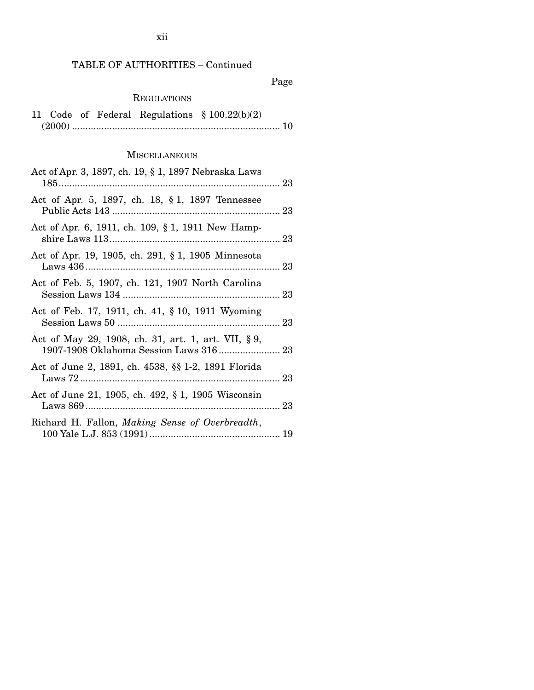# TABLE OF AUTHORITIES – Continued

Page

### REGULATIONS

|  |  | 11 Code of Federal Regulations $$100.22(b)(2)$ |  |
|--|--|------------------------------------------------|--|
|  |  |                                                |  |

### **MISCELLANEOUS**

| Act of Apr. 3, 1897, ch. 19, § 1, 1897 Nebraska Laws |  |
|------------------------------------------------------|--|
| Act of Apr. 5, 1897, ch. 18, § 1, 1897 Tennessee     |  |
| Act of Apr. 6, 1911, ch. 109, § 1, 1911 New Hamp-    |  |
| Act of Apr. 19, 1905, ch. 291, § 1, 1905 Minnesota   |  |
| Act of Feb. 5, 1907, ch. 121, 1907 North Carolina    |  |
| Act of Feb. 17, 1911, ch. 41, § 10, 1911 Wyoming     |  |
| Act of May 29, 1908, ch. 31, art. 1, art. VII, §9,   |  |
| Act of June 2, 1891, ch. 4538, §§ 1-2, 1891 Florida  |  |
| Act of June 21, 1905, ch. 492, § 1, 1905 Wisconsin   |  |
| Richard H. Fallon, Making Sense of Overbreadth,      |  |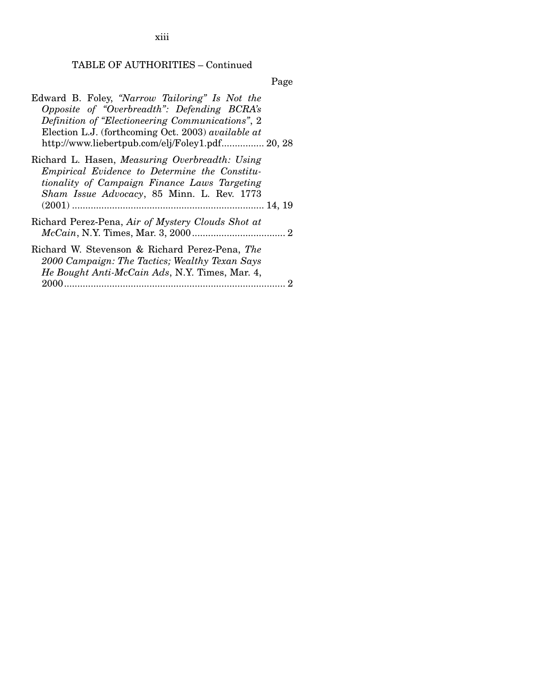xiii

# TABLE OF AUTHORITIES – Continued

Page

| Edward B. Foley, "Narrow Tailoring" Is Not the<br>Opposite of "Overbreadth": Defending BCRA's<br>Definition of "Electioneering Communications", 2<br>Election L.J. (forthcoming Oct. 2003) available at<br>http://www.liebertpub.com/elj/Foley1.pdf 20, 28 |  |
|------------------------------------------------------------------------------------------------------------------------------------------------------------------------------------------------------------------------------------------------------------|--|
| Richard L. Hasen, Measuring Overbreadth: Using<br>Empirical Evidence to Determine the Constitu-<br>tionality of Campaign Finance Laws Targeting<br>Sham Issue Advocacy, 85 Minn. L. Rev. 1773                                                              |  |
|                                                                                                                                                                                                                                                            |  |
| Richard Perez-Pena, Air of Mystery Clouds Shot at                                                                                                                                                                                                          |  |
| Richard W. Stevenson & Richard Perez-Pena, The<br>2000 Campaign: The Tactics; Wealthy Texan Says<br>He Bought Anti-McCain Ads, N.Y. Times, Mar. 4,                                                                                                         |  |
|                                                                                                                                                                                                                                                            |  |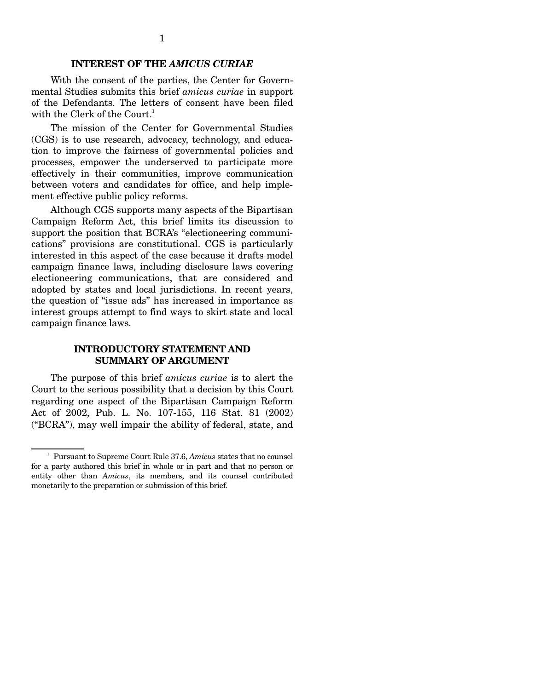#### **INTEREST OF THE** *AMICUS CURIAE*

With the consent of the parties, the Center for Governmental Studies submits this brief *amicus curiae* in support of the Defendants. The letters of consent have been filed with the Clerk of the Court.<sup>1</sup>

The mission of the Center for Governmental Studies (CGS) is to use research, advocacy, technology, and education to improve the fairness of governmental policies and processes, empower the underserved to participate more effectively in their communities, improve communication between voters and candidates for office, and help implement effective public policy reforms.

Although CGS supports many aspects of the Bipartisan Campaign Reform Act, this brief limits its discussion to support the position that BCRA's "electioneering communications" provisions are constitutional. CGS is particularly interested in this aspect of the case because it drafts model campaign finance laws, including disclosure laws covering electioneering communications, that are considered and adopted by states and local jurisdictions. In recent years, the question of "issue ads" has increased in importance as interest groups attempt to find ways to skirt state and local campaign finance laws.

#### **INTRODUCTORY STATEMENT AND SUMMARY OF ARGUMENT**

The purpose of this brief *amicus curiae* is to alert the Court to the serious possibility that a decision by this Court regarding one aspect of the Bipartisan Campaign Reform Act of 2002, Pub. L. No. 107-155, 116 Stat. 81 (2002) ("BCRA"), may well impair the ability of federal, state, and

<sup>1</sup> Pursuant to Supreme Court Rule 37.6, *Amicus* states that no counsel for a party authored this brief in whole or in part and that no person or entity other than *Amicus*, its members, and its counsel contributed monetarily to the preparation or submission of this brief.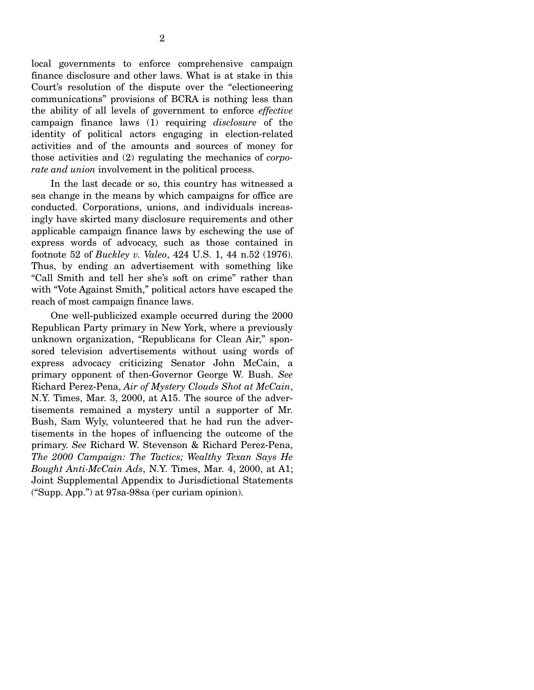local governments to enforce comprehensive campaign finance disclosure and other laws. What is at stake in this Court's resolution of the dispute over the "electioneering communications" provisions of BCRA is nothing less than the ability of all levels of government to enforce *effective*  campaign finance laws (1) requiring *disclosure* of the identity of political actors engaging in election-related activities and of the amounts and sources of money for those activities and (2) regulating the mechanics of *corporate and union* involvement in the political process.

In the last decade or so, this country has witnessed a sea change in the means by which campaigns for office are conducted. Corporations, unions, and individuals increasingly have skirted many disclosure requirements and other applicable campaign finance laws by eschewing the use of express words of advocacy, such as those contained in footnote 52 of *Buckley v. Valeo*, 424 U.S. 1, 44 n.52 (1976). Thus, by ending an advertisement with something like "Call Smith and tell her she's soft on crime" rather than with "Vote Against Smith," political actors have escaped the reach of most campaign finance laws.

One well-publicized example occurred during the 2000 Republican Party primary in New York, where a previously unknown organization, "Republicans for Clean Air," sponsored television advertisements without using words of express advocacy criticizing Senator John McCain, a primary opponent of then-Governor George W. Bush. *See*  Richard Perez-Pena, *Air of Mystery Clouds Shot at McCain*, N.Y. Times, Mar. 3, 2000, at A15. The source of the advertisements remained a mystery until a supporter of Mr. Bush, Sam Wyly, volunteered that he had run the advertisements in the hopes of influencing the outcome of the primary. *See* Richard W. Stevenson & Richard Perez-Pena, *The 2000 Campaign: The Tactics; Wealthy Texan Says He Bought Anti-McCain Ads*, N.Y. Times, Mar. 4, 2000, at A1; Joint Supplemental Appendix to Jurisdictional Statements ("Supp. App.") at 97sa-98sa (per curiam opinion).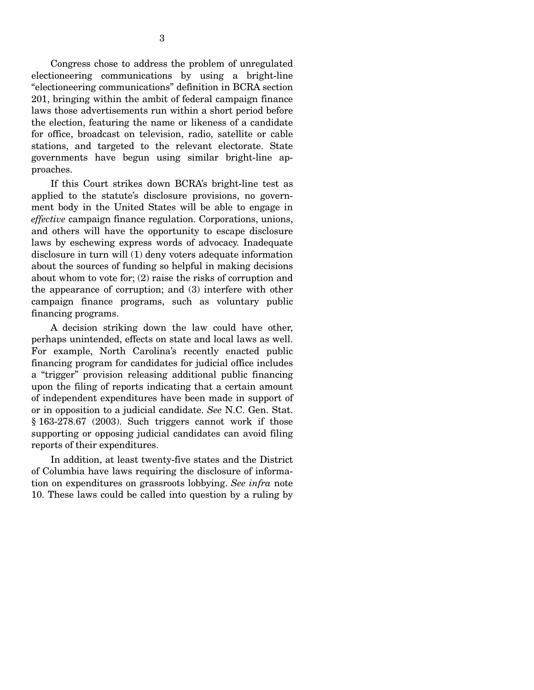Congress chose to address the problem of unregulated electioneering communications by using a bright-line "electioneering communications" definition in BCRA section 201, bringing within the ambit of federal campaign finance laws those advertisements run within a short period before the election, featuring the name or likeness of a candidate for office, broadcast on television, radio, satellite or cable stations, and targeted to the relevant electorate. State governments have begun using similar bright-line approaches.

If this Court strikes down BCRA's bright-line test as applied to the statute's disclosure provisions, no government body in the United States will be able to engage in *effective* campaign finance regulation. Corporations, unions, and others will have the opportunity to escape disclosure laws by eschewing express words of advocacy. Inadequate disclosure in turn will (1) deny voters adequate information about the sources of funding so helpful in making decisions about whom to vote for; (2) raise the risks of corruption and the appearance of corruption; and (3) interfere with other campaign finance programs, such as voluntary public financing programs.

A decision striking down the law could have other, perhaps unintended, effects on state and local laws as well. For example, North Carolina's recently enacted public financing program for candidates for judicial office includes a "trigger" provision releasing additional public financing upon the filing of reports indicating that a certain amount of independent expenditures have been made in support of or in opposition to a judicial candidate. *See* N.C. Gen. Stat. § 163-278.67 (2003). Such triggers cannot work if those supporting or opposing judicial candidates can avoid filing reports of their expenditures.

In addition, at least twenty-five states and the District of Columbia have laws requiring the disclosure of information on expenditures on grassroots lobbying. *See infra* note 10. These laws could be called into question by a ruling by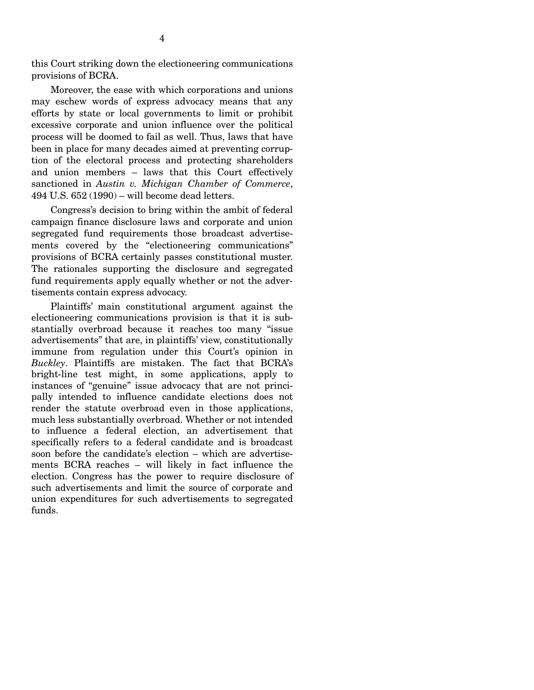this Court striking down the electioneering communications provisions of BCRA.

Moreover, the ease with which corporations and unions may eschew words of express advocacy means that any efforts by state or local governments to limit or prohibit excessive corporate and union influence over the political process will be doomed to fail as well. Thus, laws that have been in place for many decades aimed at preventing corruption of the electoral process and protecting shareholders and union members – laws that this Court effectively sanctioned in *Austin v. Michigan Chamber of Commerce*, 494 U.S. 652 (1990) – will become dead letters.

Congress's decision to bring within the ambit of federal campaign finance disclosure laws and corporate and union segregated fund requirements those broadcast advertisements covered by the "electioneering communications" provisions of BCRA certainly passes constitutional muster. The rationales supporting the disclosure and segregated fund requirements apply equally whether or not the advertisements contain express advocacy.

Plaintiffs' main constitutional argument against the electioneering communications provision is that it is substantially overbroad because it reaches too many "issue advertisements" that are, in plaintiffs' view, constitutionally immune from regulation under this Court's opinion in *Buckley*. Plaintiffs are mistaken. The fact that BCRA's bright-line test might, in some applications, apply to instances of "genuine" issue advocacy that are not principally intended to influence candidate elections does not render the statute overbroad even in those applications, much less substantially overbroad. Whether or not intended to influence a federal election, an advertisement that specifically refers to a federal candidate and is broadcast soon before the candidate's election – which are advertisements BCRA reaches – will likely in fact influence the election. Congress has the power to require disclosure of such advertisements and limit the source of corporate and union expenditures for such advertisements to segregated funds.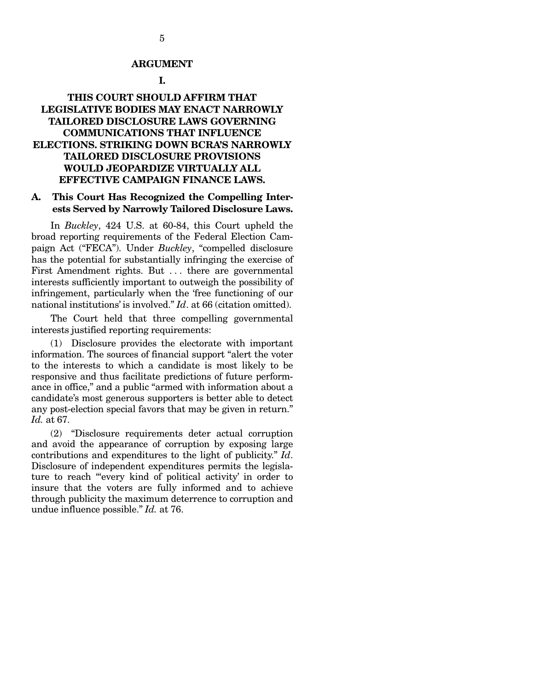#### **ARGUMENT**

#### **I.**

### **THIS COURT SHOULD AFFIRM THAT LEGISLATIVE BODIES MAY ENACT NARROWLY TAILORED DISCLOSURE LAWS GOVERNING COMMUNICATIONS THAT INFLUENCE ELECTIONS. STRIKING DOWN BCRA'S NARROWLY TAILORED DISCLOSURE PROVISIONS WOULD JEOPARDIZE VIRTUALLY ALL EFFECTIVE CAMPAIGN FINANCE LAWS.**

#### **A. This Court Has Recognized the Compelling Interests Served by Narrowly Tailored Disclosure Laws.**

In *Buckley*, 424 U.S. at 60-84, this Court upheld the broad reporting requirements of the Federal Election Campaign Act ("FECA"). Under *Buckley*, "compelled disclosure has the potential for substantially infringing the exercise of First Amendment rights. But ... there are governmental interests sufficiently important to outweigh the possibility of infringement, particularly when the 'free functioning of our national institutions' is involved." *Id*. at 66 (citation omitted).

The Court held that three compelling governmental interests justified reporting requirements:

(1) Disclosure provides the electorate with important information. The sources of financial support "alert the voter to the interests to which a candidate is most likely to be responsive and thus facilitate predictions of future performance in office," and a public "armed with information about a candidate's most generous supporters is better able to detect any post-election special favors that may be given in return." *Id.* at 67.

(2) "Disclosure requirements deter actual corruption and avoid the appearance of corruption by exposing large contributions and expenditures to the light of publicity." *Id*. Disclosure of independent expenditures permits the legislature to reach "'every kind of political activity' in order to insure that the voters are fully informed and to achieve through publicity the maximum deterrence to corruption and undue influence possible." *Id.* at 76.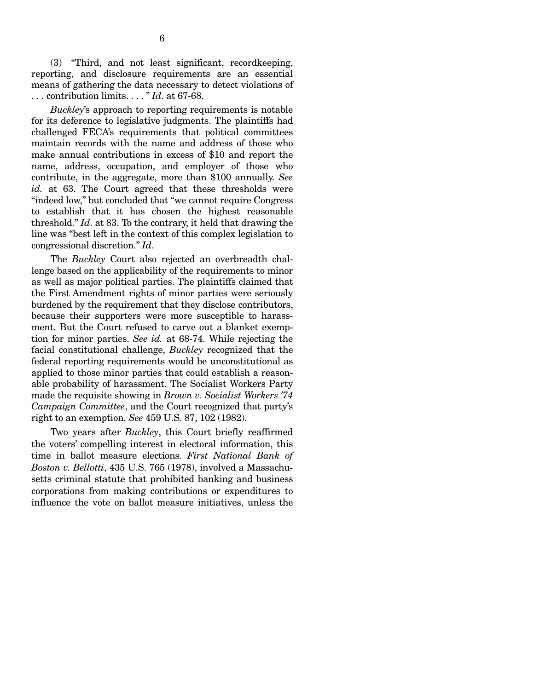(3) "Third, and not least significant, recordkeeping, reporting, and disclosure requirements are an essential means of gathering the data necessary to detect violations of . . . contribution limits. . . . " *Id*. at 67-68.

*Buckley*'s approach to reporting requirements is notable for its deference to legislative judgments. The plaintiffs had challenged FECA's requirements that political committees maintain records with the name and address of those who make annual contributions in excess of \$10 and report the name, address, occupation, and employer of those who contribute, in the aggregate, more than \$100 annually. *See id.* at 63. The Court agreed that these thresholds were "indeed low," but concluded that "we cannot require Congress to establish that it has chosen the highest reasonable threshold." *Id*. at 83. To the contrary, it held that drawing the line was "best left in the context of this complex legislation to congressional discretion." *Id*.

The *Buckley* Court also rejected an overbreadth challenge based on the applicability of the requirements to minor as well as major political parties. The plaintiffs claimed that the First Amendment rights of minor parties were seriously burdened by the requirement that they disclose contributors, because their supporters were more susceptible to harassment. But the Court refused to carve out a blanket exemption for minor parties. *See id.* at 68-74. While rejecting the facial constitutional challenge, *Buckley* recognized that the federal reporting requirements would be unconstitutional as applied to those minor parties that could establish a reasonable probability of harassment. The Socialist Workers Party made the requisite showing in *Brown v. Socialist Workers '74 Campaign Committee*, and the Court recognized that party's right to an exemption. *See* 459 U.S. 87, 102 (1982).

Two years after *Buckley*, this Court briefly reaffirmed the voters' compelling interest in electoral information, this time in ballot measure elections. *First National Bank of Boston v. Bellotti*, 435 U.S. 765 (1978), involved a Massachusetts criminal statute that prohibited banking and business corporations from making contributions or expenditures to influence the vote on ballot measure initiatives, unless the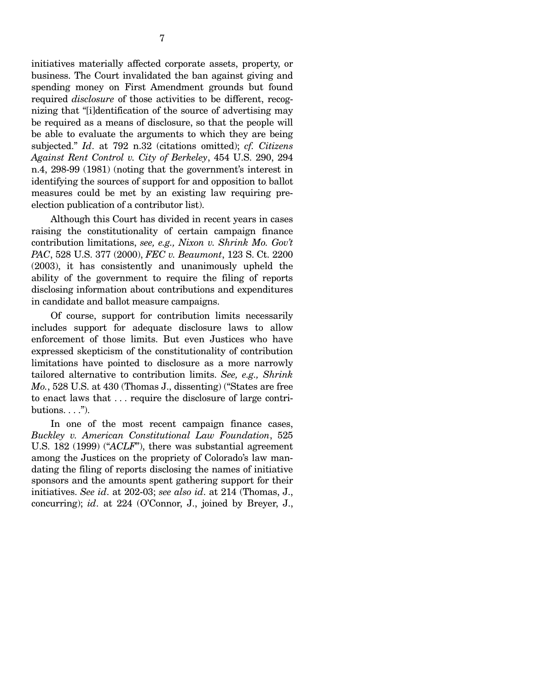initiatives materially affected corporate assets, property, or business. The Court invalidated the ban against giving and spending money on First Amendment grounds but found required *disclosure* of those activities to be different, recognizing that "[i]dentification of the source of advertising may be required as a means of disclosure, so that the people will be able to evaluate the arguments to which they are being subjected." *Id*. at 792 n.32 (citations omitted); *cf. Citizens Against Rent Control v. City of Berkeley*, 454 U.S. 290, 294 n.4, 298-99 (1981) (noting that the government's interest in identifying the sources of support for and opposition to ballot measures could be met by an existing law requiring preelection publication of a contributor list).

Although this Court has divided in recent years in cases raising the constitutionality of certain campaign finance contribution limitations, *see, e.g., Nixon v. Shrink Mo. Gov't PAC*, 528 U.S. 377 (2000), *FEC v. Beaumont*, 123 S. Ct. 2200 (2003), it has consistently and unanimously upheld the ability of the government to require the filing of reports disclosing information about contributions and expenditures in candidate and ballot measure campaigns.

Of course, support for contribution limits necessarily includes support for adequate disclosure laws to allow enforcement of those limits. But even Justices who have expressed skepticism of the constitutionality of contribution limitations have pointed to disclosure as a more narrowly tailored alternative to contribution limits. *See, e.g., Shrink Mo.*, 528 U.S. at 430 (Thomas J., dissenting) ("States are free to enact laws that . . . require the disclosure of large contributions.  $\ldots$ ").

In one of the most recent campaign finance cases, *Buckley v. American Constitutional Law Foundation*, 525 U.S. 182 (1999) ("*ACLF*"), there was substantial agreement among the Justices on the propriety of Colorado's law mandating the filing of reports disclosing the names of initiative sponsors and the amounts spent gathering support for their initiatives. *See id*. at 202-03; *see also id*. at 214 (Thomas, J., concurring); *id*. at 224 (O'Connor, J., joined by Breyer, J.,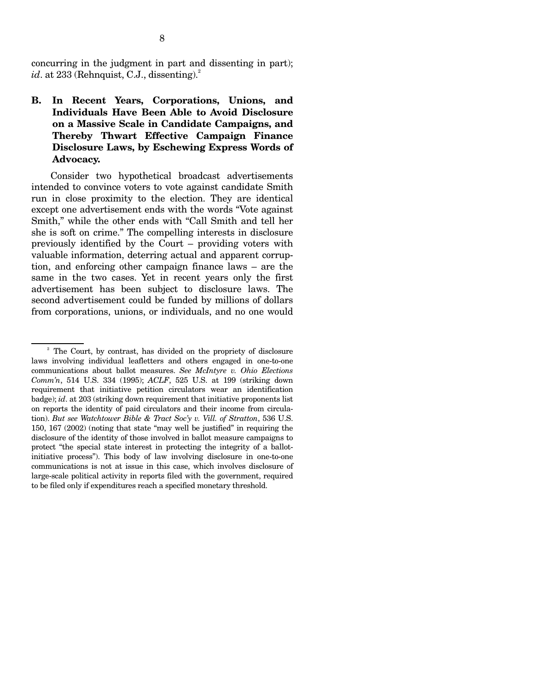concurring in the judgment in part and dissenting in part); *id.* at 233 (Rehnquist, C.J., dissenting).<sup>2</sup>

**B. In Recent Years, Corporations, Unions, and Individuals Have Been Able to Avoid Disclosure on a Massive Scale in Candidate Campaigns, and Thereby Thwart Effective Campaign Finance Disclosure Laws, by Eschewing Express Words of Advocacy.** 

Consider two hypothetical broadcast advertisements intended to convince voters to vote against candidate Smith run in close proximity to the election. They are identical except one advertisement ends with the words "Vote against Smith," while the other ends with "Call Smith and tell her she is soft on crime." The compelling interests in disclosure previously identified by the Court – providing voters with valuable information, deterring actual and apparent corruption, and enforcing other campaign finance laws – are the same in the two cases. Yet in recent years only the first advertisement has been subject to disclosure laws. The second advertisement could be funded by millions of dollars from corporations, unions, or individuals, and no one would

<sup>2</sup> The Court, by contrast, has divided on the propriety of disclosure laws involving individual leafletters and others engaged in one-to-one communications about ballot measures. *See McIntyre v. Ohio Elections Comm'n*, 514 U.S. 334 (1995); *ACLF*, 525 U.S. at 199 (striking down requirement that initiative petition circulators wear an identification badge); *id*. at 203 (striking down requirement that initiative proponents list on reports the identity of paid circulators and their income from circulation). *But see Watchtower Bible & Tract Soc'y v. Vill. of Stratton*, 536 U.S. 150, 167 (2002) (noting that state "may well be justified" in requiring the disclosure of the identity of those involved in ballot measure campaigns to protect "the special state interest in protecting the integrity of a ballotinitiative process"). This body of law involving disclosure in one-to-one communications is not at issue in this case, which involves disclosure of large-scale political activity in reports filed with the government, required to be filed only if expenditures reach a specified monetary threshold.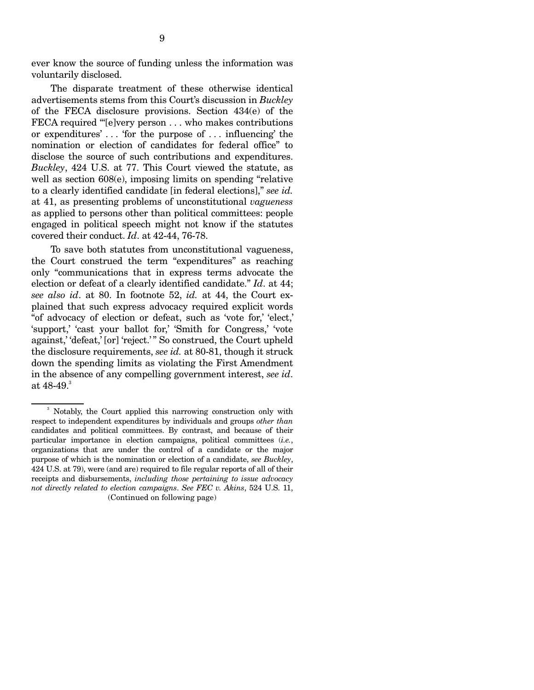ever know the source of funding unless the information was voluntarily disclosed.

The disparate treatment of these otherwise identical advertisements stems from this Court's discussion in *Buckley*  of the FECA disclosure provisions. Section 434(e) of the FECA required "[e]very person . . . who makes contributions or expenditures' . . . 'for the purpose of . . . influencing' the nomination or election of candidates for federal office" to disclose the source of such contributions and expenditures. *Buckley*, 424 U.S. at 77. This Court viewed the statute, as well as section 608(e), imposing limits on spending "relative to a clearly identified candidate [in federal elections]," *see id.*  at 41, as presenting problems of unconstitutional *vagueness*  as applied to persons other than political committees: people engaged in political speech might not know if the statutes covered their conduct. *Id*. at 42-44, 76-78.

To save both statutes from unconstitutional vagueness, the Court construed the term "expenditures" as reaching only "communications that in express terms advocate the election or defeat of a clearly identified candidate." *Id*. at 44; *see also id*. at 80. In footnote 52, *id.* at 44, the Court explained that such express advocacy required explicit words "of advocacy of election or defeat, such as 'vote for,' 'elect,' 'support,' 'cast your ballot for,' 'Smith for Congress,' 'vote against,' 'defeat,' [or] 'reject.' " So construed, the Court upheld the disclosure requirements, *see id.* at 80-81, though it struck down the spending limits as violating the First Amendment in the absence of any compelling government interest, *see id*. at  $48-49.^3$ 

<sup>3</sup> Notably, the Court applied this narrowing construction only with respect to independent expenditures by individuals and groups *other than*  candidates and political committees. By contrast, and because of their particular importance in election campaigns, political committees (*i.e.*, organizations that are under the control of a candidate or the major purpose of which is the nomination or election of a candidate, *see Buckley*, 424 U.S. at 79), were (and are) required to file regular reports of all of their receipts and disbursements, *including those pertaining to issue advocacy not directly related to election campaigns*. *See FEC v. Akins*, 524 U.S. 11, (Continued on following page)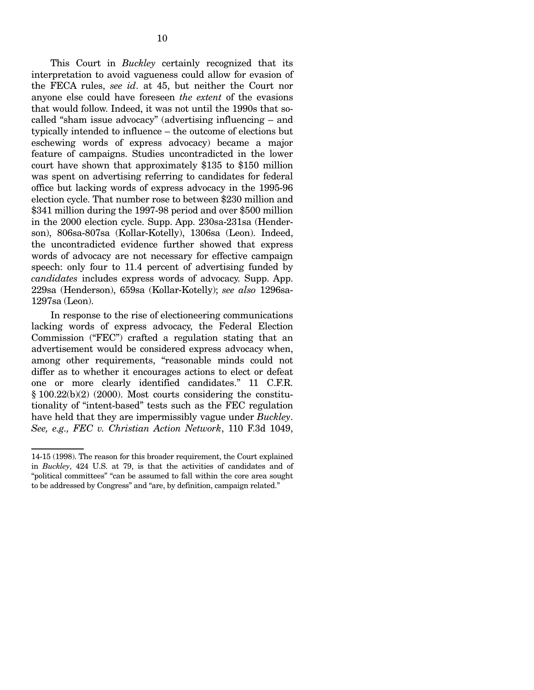This Court in *Buckley* certainly recognized that its interpretation to avoid vagueness could allow for evasion of the FECA rules, *see id*. at 45, but neither the Court nor anyone else could have foreseen *the extent* of the evasions that would follow. Indeed, it was not until the 1990s that socalled "sham issue advocacy" (advertising influencing – and typically intended to influence – the outcome of elections but eschewing words of express advocacy) became a major feature of campaigns. Studies uncontradicted in the lower court have shown that approximately \$135 to \$150 million was spent on advertising referring to candidates for federal office but lacking words of express advocacy in the 1995-96 election cycle. That number rose to between \$230 million and \$341 million during the 1997-98 period and over \$500 million in the 2000 election cycle. Supp. App. 230sa-231sa (Henderson), 806sa-807sa (Kollar-Kotelly), 1306sa (Leon). Indeed, the uncontradicted evidence further showed that express words of advocacy are not necessary for effective campaign speech: only four to 11.4 percent of advertising funded by *candidates* includes express words of advocacy. Supp. App. 229sa (Henderson), 659sa (Kollar-Kotelly); *see also* 1296sa-1297sa (Leon).

In response to the rise of electioneering communications lacking words of express advocacy, the Federal Election Commission ("FEC") crafted a regulation stating that an advertisement would be considered express advocacy when, among other requirements, "reasonable minds could not differ as to whether it encourages actions to elect or defeat one or more clearly identified candidates." 11 C.F.R.  $§ 100.22(b)(2)$  (2000). Most courts considering the constitutionality of "intent-based" tests such as the FEC regulation have held that they are impermissibly vague under *Buckley*. *See, e.g., FEC v. Christian Action Network*, 110 F.3d 1049,

<sup>14-15 (1998).</sup> The reason for this broader requirement, the Court explained in *Buckley*, 424 U.S. at 79, is that the activities of candidates and of "political committees" "can be assumed to fall within the core area sought to be addressed by Congress" and "are, by definition, campaign related."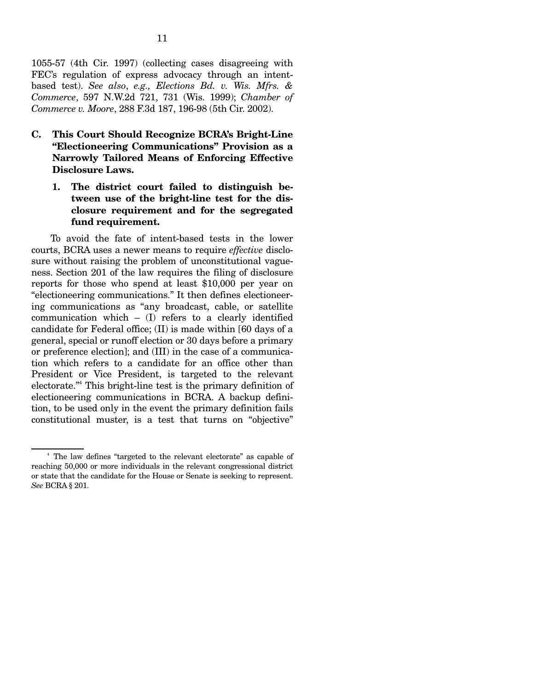1055-57 (4th Cir. 1997) (collecting cases disagreeing with FEC's regulation of express advocacy through an intentbased test). *See also*, *e.g., Elections Bd. v. Wis. Mfrs. & Commerce*, 597 N.W.2d 721, 731 (Wis. 1999); *Chamber of Commerce v. Moore*, 288 F.3d 187, 196-98 (5th Cir. 2002).

- **C. This Court Should Recognize BCRA's Bright-Line "Electioneering Communications" Provision as a Narrowly Tailored Means of Enforcing Effective Disclosure Laws.** 
	- 1. The district court failed to distinguish be**tween use of the bright-line test for the disclosure requirement and for the segregated fund requirement.**

To avoid the fate of intent-based tests in the lower courts, BCRA uses a newer means to require *effective* disclosure without raising the problem of unconstitutional vagueness. Section 201 of the law requires the filing of disclosure reports for those who spend at least \$10,000 per year on "electioneering communications." It then defines electioneering communications as "any broadcast, cable, or satellite communication which – (I) refers to a clearly identified candidate for Federal office; (II) is made within [60 days of a general, special or runoff election or 30 days before a primary or preference election]; and (III) in the case of a communication which refers to a candidate for an office other than President or Vice President, is targeted to the relevant electorate."4 This bright-line test is the primary definition of electioneering communications in BCRA. A backup definition, to be used only in the event the primary definition fails constitutional muster, is a test that turns on "objective"

<sup>&</sup>lt;sup>4</sup> The law defines "targeted to the relevant electorate" as capable of reaching 50,000 or more individuals in the relevant congressional district or state that the candidate for the House or Senate is seeking to represent. *See* BCRA § 201.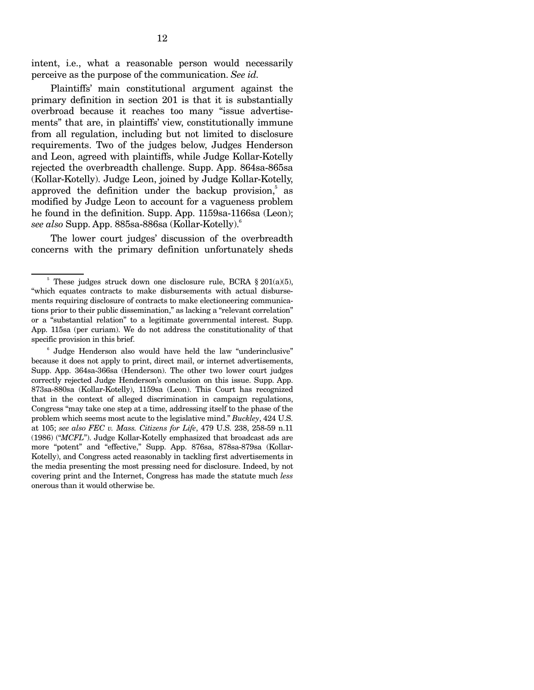intent, i.e., what a reasonable person would necessarily perceive as the purpose of the communication. *See id.* 

Plaintiffs' main constitutional argument against the primary definition in section 201 is that it is substantially overbroad because it reaches too many "issue advertisements" that are, in plaintiffs' view, constitutionally immune from all regulation, including but not limited to disclosure requirements. Two of the judges below, Judges Henderson and Leon, agreed with plaintiffs, while Judge Kollar-Kotelly rejected the overbreadth challenge. Supp. App. 864sa-865sa (Kollar-Kotelly). Judge Leon, joined by Judge Kollar-Kotelly, approved the definition under the backup provision, $5$  as modified by Judge Leon to account for a vagueness problem he found in the definition. Supp. App. 1159sa-1166sa (Leon); *see also* Supp. App. 885sa-886sa (Kollar-Kotelly).6

The lower court judges' discussion of the overbreadth concerns with the primary definition unfortunately sheds

<sup>&</sup>lt;sup>5</sup> These judges struck down one disclosure rule, BCRA  $\S 201(a)(5)$ , "which equates contracts to make disbursements with actual disbursements requiring disclosure of contracts to make electioneering communications prior to their public dissemination," as lacking a "relevant correlation" or a "substantial relation" to a legitimate governmental interest. Supp. App. 115sa (per curiam). We do not address the constitutionality of that specific provision in this brief.

<sup>6</sup> Judge Henderson also would have held the law "underinclusive" because it does not apply to print, direct mail, or internet advertisements, Supp. App. 364sa-366sa (Henderson). The other two lower court judges correctly rejected Judge Henderson's conclusion on this issue. Supp. App. 873sa-880sa (Kollar-Kotelly), 1159sa (Leon). This Court has recognized that in the context of alleged discrimination in campaign regulations, Congress "may take one step at a time, addressing itself to the phase of the problem which seems most acute to the legislative mind." *Buckley*, 424 U.S. at 105; *see also FEC v. Mass. Citizens for Life*, 479 U.S. 238, 258-59 n.11 (1986) ("*MCFL*"). Judge Kollar-Kotelly emphasized that broadcast ads are more "potent" and "effective," Supp. App. 876sa, 878sa-879sa (Kollar-Kotelly), and Congress acted reasonably in tackling first advertisements in the media presenting the most pressing need for disclosure. Indeed, by not covering print and the Internet, Congress has made the statute much *less*  onerous than it would otherwise be.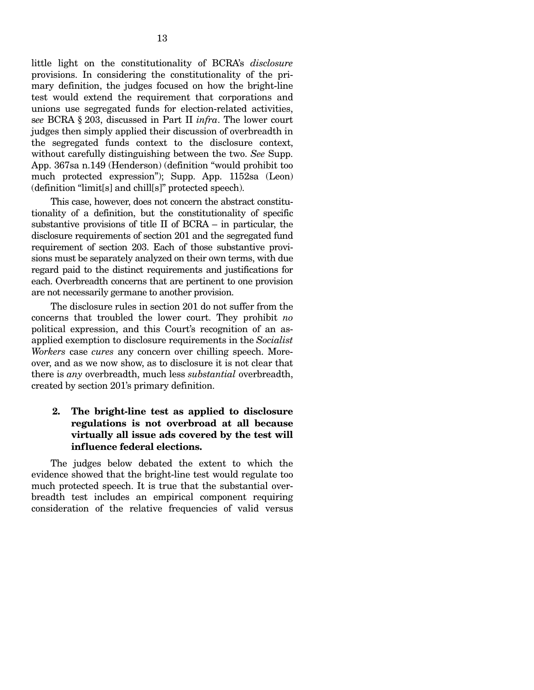little light on the constitutionality of BCRA's *disclosure*  provisions. In considering the constitutionality of the primary definition, the judges focused on how the bright-line test would extend the requirement that corporations and unions use segregated funds for election-related activities, s*ee* BCRA § 203, discussed in Part II *infra*. The lower court judges then simply applied their discussion of overbreadth in the segregated funds context to the disclosure context, without carefully distinguishing between the two. *See* Supp. App. 367sa n.149 (Henderson) (definition "would prohibit too much protected expression"); Supp. App. 1152sa (Leon) (definition "limit[s] and chill[s]" protected speech).

This case, however, does not concern the abstract constitutionality of a definition, but the constitutionality of specific substantive provisions of title II of BCRA – in particular, the disclosure requirements of section 201 and the segregated fund requirement of section 203. Each of those substantive provisions must be separately analyzed on their own terms, with due regard paid to the distinct requirements and justifications for each. Overbreadth concerns that are pertinent to one provision are not necessarily germane to another provision.

The disclosure rules in section 201 do not suffer from the concerns that troubled the lower court. They prohibit *no*  political expression, and this Court's recognition of an asapplied exemption to disclosure requirements in the *Socialist Workers* case *cures* any concern over chilling speech. Moreover, and as we now show, as to disclosure it is not clear that there is *any* overbreadth, much less *substantial* overbreadth, created by section 201's primary definition.

#### **2. The bright-line test as applied to disclosure regulations is not overbroad at all because virtually all issue ads covered by the test will influence federal elections.**

The judges below debated the extent to which the evidence showed that the bright-line test would regulate too much protected speech. It is true that the substantial overbreadth test includes an empirical component requiring consideration of the relative frequencies of valid versus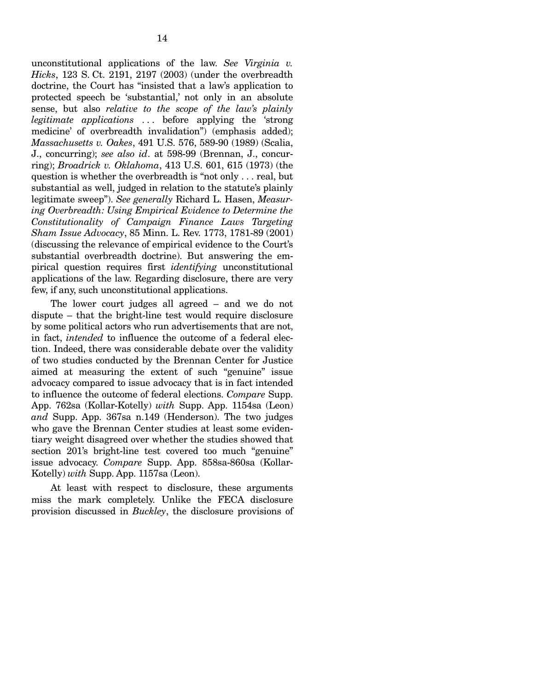unconstitutional applications of the law. *See Virginia v. Hicks*, 123 S. Ct. 2191, 2197 (2003) (under the overbreadth doctrine, the Court has "insisted that a law's application to protected speech be 'substantial,' not only in an absolute sense, but also *relative to the scope of the law's plainly legitimate applications* . . . before applying the 'strong medicine' of overbreadth invalidation") (emphasis added); *Massachusetts v. Oakes*, 491 U.S. 576, 589-90 (1989) (Scalia, J., concurring); *see also id*. at 598-99 (Brennan, J., concurring); *Broadrick v. Oklahoma*, 413 U.S. 601, 615 (1973) (the question is whether the overbreadth is "not only . . . real, but substantial as well, judged in relation to the statute's plainly legitimate sweep"). *See generally* Richard L. Hasen, *Measuring Overbreadth: Using Empirical Evidence to Determine the Constitutionality of Campaign Finance Laws Targeting Sham Issue Advocacy*, 85 Minn. L. Rev. 1773, 1781-89 (2001) (discussing the relevance of empirical evidence to the Court's substantial overbreadth doctrine). But answering the empirical question requires first *identifying* unconstitutional applications of the law. Regarding disclosure, there are very few, if any, such unconstitutional applications.

The lower court judges all agreed – and we do not dispute – that the bright-line test would require disclosure by some political actors who run advertisements that are not, in fact, *intended* to influence the outcome of a federal election. Indeed, there was considerable debate over the validity of two studies conducted by the Brennan Center for Justice aimed at measuring the extent of such "genuine" issue advocacy compared to issue advocacy that is in fact intended to influence the outcome of federal elections. *Compare* Supp. App. 762sa (Kollar-Kotelly) *with* Supp. App. 1154sa (Leon) *and* Supp. App. 367sa n.149 (Henderson). The two judges who gave the Brennan Center studies at least some evidentiary weight disagreed over whether the studies showed that section 201's bright-line test covered too much "genuine" issue advocacy. *Compare* Supp. App. 858sa-860sa (Kollar-Kotelly) *with* Supp. App. 1157sa (Leon).

At least with respect to disclosure, these arguments miss the mark completely. Unlike the FECA disclosure provision discussed in *Buckley*, the disclosure provisions of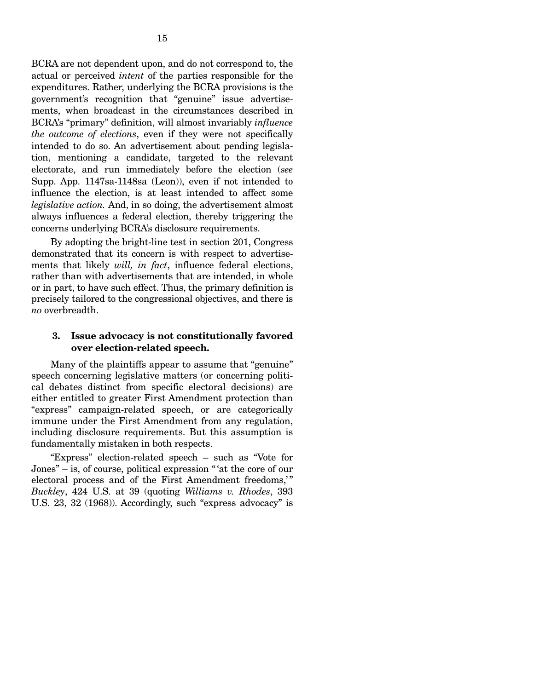BCRA are not dependent upon, and do not correspond to, the actual or perceived *intent* of the parties responsible for the expenditures. Rather, underlying the BCRA provisions is the government's recognition that "genuine" issue advertisements, when broadcast in the circumstances described in BCRA's "primary" definition, will almost invariably *influence the outcome of elections*, even if they were not specifically intended to do so. An advertisement about pending legislation, mentioning a candidate, targeted to the relevant electorate, and run immediately before the election (*see*  Supp. App. 1147sa-1148sa (Leon)), even if not intended to influence the election, is at least intended to affect some *legislative action.* And, in so doing, the advertisement almost always influences a federal election, thereby triggering the concerns underlying BCRA's disclosure requirements.

By adopting the bright-line test in section 201, Congress demonstrated that its concern is with respect to advertisements that likely *will, in fact*, influence federal elections, rather than with advertisements that are intended, in whole or in part, to have such effect. Thus, the primary definition is precisely tailored to the congressional objectives, and there is *no* overbreadth.

#### **3. Issue advocacy is not constitutionally favored over election-related speech.**

Many of the plaintiffs appear to assume that "genuine" speech concerning legislative matters (or concerning political debates distinct from specific electoral decisions) are either entitled to greater First Amendment protection than "express" campaign-related speech, or are categorically immune under the First Amendment from any regulation, including disclosure requirements. But this assumption is fundamentally mistaken in both respects.

"Express" election-related speech – such as "Vote for Jones" – is, of course, political expression " 'at the core of our electoral process and of the First Amendment freedoms," *Buckley*, 424 U.S. at 39 (quoting *Williams v. Rhodes*, 393 U.S. 23, 32 (1968)). Accordingly, such "express advocacy" is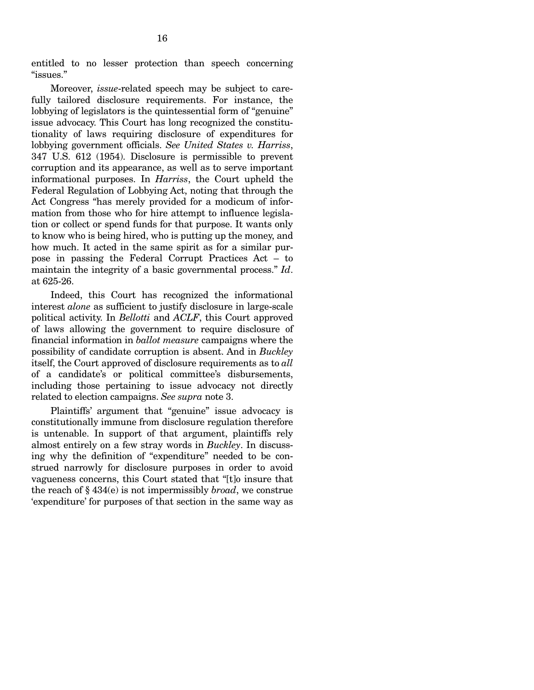entitled to no lesser protection than speech concerning "issues."

Moreover, *issue*-related speech may be subject to carefully tailored disclosure requirements. For instance, the lobbying of legislators is the quintessential form of "genuine" issue advocacy. This Court has long recognized the constitutionality of laws requiring disclosure of expenditures for lobbying government officials. *See United States v. Harriss*, 347 U.S. 612 (1954). Disclosure is permissible to prevent corruption and its appearance, as well as to serve important informational purposes. In *Harriss*, the Court upheld the Federal Regulation of Lobbying Act, noting that through the Act Congress "has merely provided for a modicum of information from those who for hire attempt to influence legislation or collect or spend funds for that purpose. It wants only to know who is being hired, who is putting up the money, and how much. It acted in the same spirit as for a similar purpose in passing the Federal Corrupt Practices Act – to maintain the integrity of a basic governmental process." *Id*. at 625-26.

Indeed, this Court has recognized the informational interest *alone* as sufficient to justify disclosure in large-scale political activity. In *Bellotti* and *ACLF*, this Court approved of laws allowing the government to require disclosure of financial information in *ballot measure* campaigns where the possibility of candidate corruption is absent. And in *Buckley*  itself, the Court approved of disclosure requirements as to *all*  of a candidate's or political committee's disbursements, including those pertaining to issue advocacy not directly related to election campaigns. *See supra* note 3.

Plaintiffs' argument that "genuine" issue advocacy is constitutionally immune from disclosure regulation therefore is untenable. In support of that argument, plaintiffs rely almost entirely on a few stray words in *Buckley*. In discussing why the definition of "expenditure" needed to be construed narrowly for disclosure purposes in order to avoid vagueness concerns, this Court stated that "[t]o insure that the reach of § 434(e) is not impermissibly *broad*, we construe 'expenditure' for purposes of that section in the same way as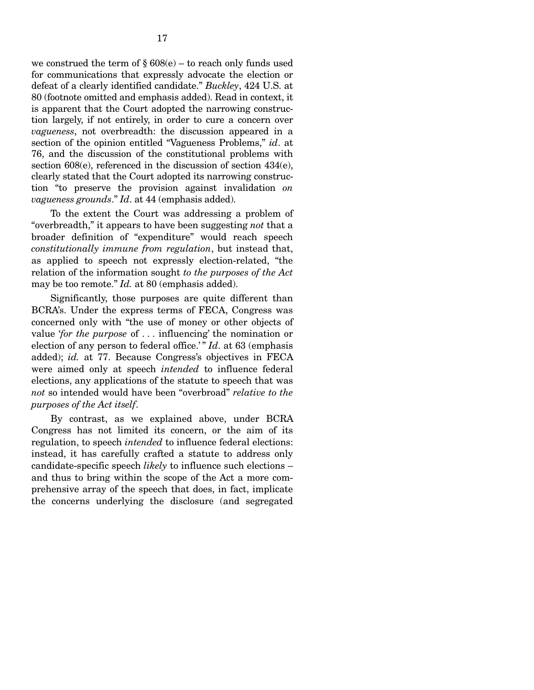we construed the term of  $\S 608(e)$  – to reach only funds used for communications that expressly advocate the election or defeat of a clearly identified candidate." *Buckley*, 424 U.S. at 80 (footnote omitted and emphasis added). Read in context, it is apparent that the Court adopted the narrowing construction largely, if not entirely, in order to cure a concern over *vagueness*, not overbreadth: the discussion appeared in a section of the opinion entitled "Vagueness Problems," *id*. at 76, and the discussion of the constitutional problems with section 608(e), referenced in the discussion of section 434(e), clearly stated that the Court adopted its narrowing construction "to preserve the provision against invalidation *on vagueness grounds*." *Id*. at 44 (emphasis added).

To the extent the Court was addressing a problem of "overbreadth," it appears to have been suggesting *not* that a broader definition of "expenditure" would reach speech *constitutionally immune from regulation*, but instead that, as applied to speech not expressly election-related, "the relation of the information sought *to the purposes of the Act*  may be too remote." *Id.* at 80 (emphasis added).

Significantly, those purposes are quite different than BCRA's. Under the express terms of FECA, Congress was concerned only with "the use of money or other objects of value '*for the purpose* of . . . influencing' the nomination or election of any person to federal office.'" *Id*. at 63 (emphasis added); *id.* at 77. Because Congress's objectives in FECA were aimed only at speech *intended* to influence federal elections, any applications of the statute to speech that was *not* so intended would have been "overbroad" *relative to the purposes of the Act itself*.

By contrast, as we explained above, under BCRA Congress has not limited its concern, or the aim of its regulation, to speech *intended* to influence federal elections: instead, it has carefully crafted a statute to address only candidate-specific speech *likely* to influence such elections – and thus to bring within the scope of the Act a more comprehensive array of the speech that does, in fact, implicate the concerns underlying the disclosure (and segregated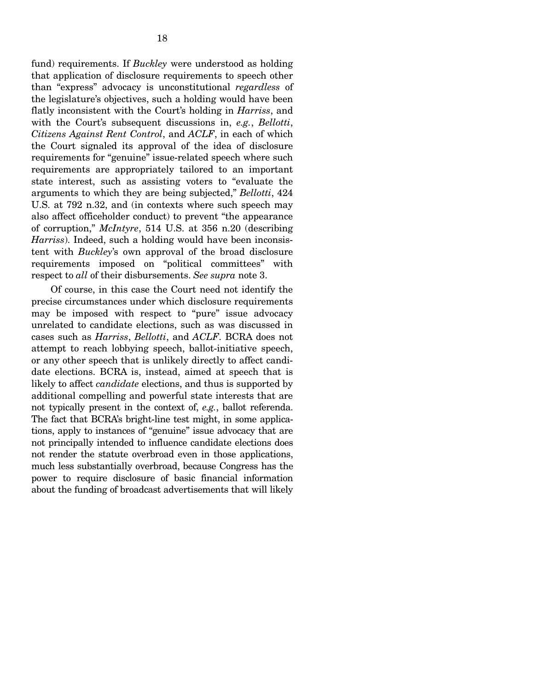fund) requirements. If *Buckley* were understood as holding that application of disclosure requirements to speech other than "express" advocacy is unconstitutional *regardless* of the legislature's objectives, such a holding would have been flatly inconsistent with the Court's holding in *Harriss*, and with the Court's subsequent discussions in, *e.g.*, *Bellotti*, *Citizens Against Rent Control*, and *ACLF*, in each of which the Court signaled its approval of the idea of disclosure requirements for "genuine" issue-related speech where such requirements are appropriately tailored to an important state interest, such as assisting voters to "evaluate the arguments to which they are being subjected," *Bellotti*, 424 U.S. at 792 n.32, and (in contexts where such speech may also affect officeholder conduct) to prevent "the appearance of corruption," *McIntyre*, 514 U.S. at 356 n.20 (describing *Harriss*). Indeed, such a holding would have been inconsistent with *Buckley*'s own approval of the broad disclosure requirements imposed on "political committees" with respect to *all* of their disbursements. *See supra* note 3.

Of course, in this case the Court need not identify the precise circumstances under which disclosure requirements may be imposed with respect to "pure" issue advocacy unrelated to candidate elections, such as was discussed in cases such as *Harriss*, *Bellotti*, and *ACLF*. BCRA does not attempt to reach lobbying speech, ballot-initiative speech, or any other speech that is unlikely directly to affect candidate elections. BCRA is, instead, aimed at speech that is likely to affect *candidate* elections, and thus is supported by additional compelling and powerful state interests that are not typically present in the context of, *e.g.*, ballot referenda. The fact that BCRA's bright-line test might, in some applications, apply to instances of "genuine" issue advocacy that are not principally intended to influence candidate elections does not render the statute overbroad even in those applications, much less substantially overbroad, because Congress has the power to require disclosure of basic financial information about the funding of broadcast advertisements that will likely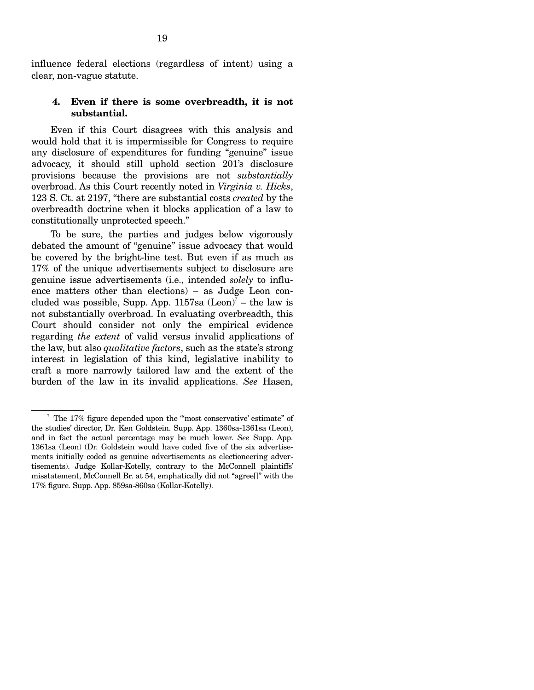influence federal elections (regardless of intent) using a clear, non-vague statute.

#### **4. Even if there is some overbreadth, it is not substantial.**

Even if this Court disagrees with this analysis and would hold that it is impermissible for Congress to require any disclosure of expenditures for funding "genuine" issue advocacy, it should still uphold section 201's disclosure provisions because the provisions are not *substantially*  overbroad. As this Court recently noted in *Virginia v. Hicks*, 123 S. Ct. at 2197, "there are substantial costs *created* by the overbreadth doctrine when it blocks application of a law to constitutionally unprotected speech."

To be sure, the parties and judges below vigorously debated the amount of "genuine" issue advocacy that would be covered by the bright-line test. But even if as much as 17% of the unique advertisements subject to disclosure are genuine issue advertisements (i.e., intended *solely* to influence matters other than elections) – as Judge Leon concluded was possible, Supp. App.  $1157$ sa  $(Leon)^7$  – the law is not substantially overbroad. In evaluating overbreadth, this Court should consider not only the empirical evidence regarding *the extent* of valid versus invalid applications of the law, but also *qualitative factors*, such as the state's strong interest in legislation of this kind, legislative inability to craft a more narrowly tailored law and the extent of the burden of the law in its invalid applications. *See* Hasen,

 $^7$  The 17% figure depended upon the "most conservative' estimate" of the studies' director, Dr. Ken Goldstein. Supp. App. 1360sa-1361sa (Leon), and in fact the actual percentage may be much lower. *See* Supp. App. 1361sa (Leon) (Dr. Goldstein would have coded five of the six advertisements initially coded as genuine advertisements as electioneering advertisements). Judge Kollar-Kotelly, contrary to the McConnell plaintiffs' misstatement, McConnell Br. at 54, emphatically did not "agree[]" with the 17% figure. Supp. App. 859sa-860sa (Kollar-Kotelly).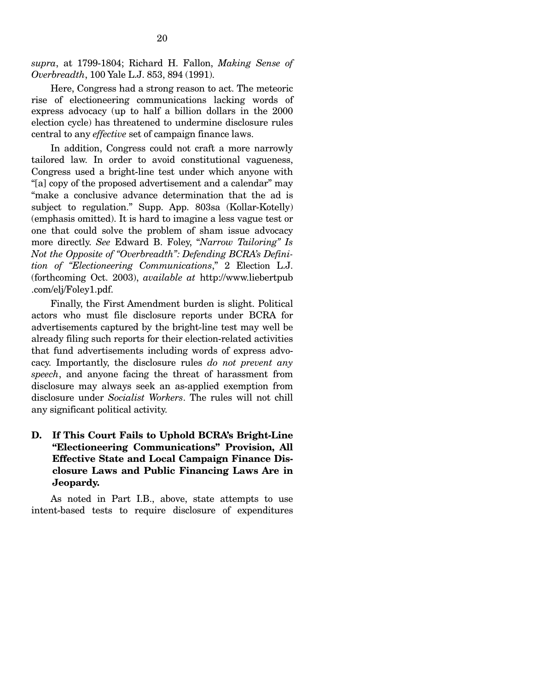*supra*, at 1799-1804; Richard H. Fallon, *Making Sense of Overbreadth*, 100 Yale L.J. 853, 894 (1991).

Here, Congress had a strong reason to act. The meteoric rise of electioneering communications lacking words of express advocacy (up to half a billion dollars in the 2000 election cycle) has threatened to undermine disclosure rules central to any *effective* set of campaign finance laws.

In addition, Congress could not craft a more narrowly tailored law. In order to avoid constitutional vagueness, Congress used a bright-line test under which anyone with "[a] copy of the proposed advertisement and a calendar" may "make a conclusive advance determination that the ad is subject to regulation." Supp. App. 803sa (Kollar-Kotelly) (emphasis omitted). It is hard to imagine a less vague test or one that could solve the problem of sham issue advocacy more directly. *See* Edward B. Foley, "*Narrow Tailoring" Is Not the Opposite of "Overbreadth": Defending BCRA's Definition of "Electioneering Communications*," 2 Election L.J. (forthcoming Oct. 2003), *available at* http://www.liebertpub .com/elj/Foley1.pdf.

Finally, the First Amendment burden is slight. Political actors who must file disclosure reports under BCRA for advertisements captured by the bright-line test may well be already filing such reports for their election-related activities that fund advertisements including words of express advocacy. Importantly, the disclosure rules *do not prevent any speech*, and anyone facing the threat of harassment from disclosure may always seek an as-applied exemption from disclosure under *Socialist Workers*. The rules will not chill any significant political activity.

### **D. If This Court Fails to Uphold BCRA's Bright-Line "Electioneering Communications" Provision, All Effective State and Local Campaign Finance Disclosure Laws and Public Financing Laws Are in Jeopardy.**

As noted in Part I.B., above, state attempts to use intent-based tests to require disclosure of expenditures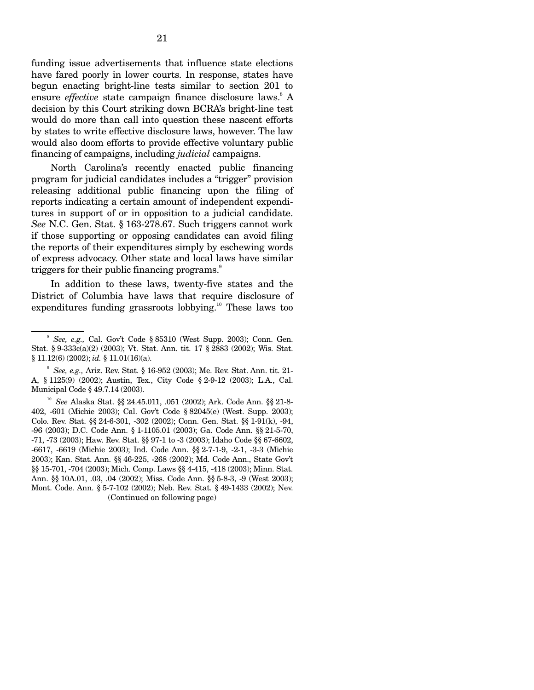funding issue advertisements that influence state elections have fared poorly in lower courts. In response, states have begun enacting bright-line tests similar to section 201 to ensure *effective* state campaign finance disclosure laws.<sup>8</sup> A decision by this Court striking down BCRA's bright-line test would do more than call into question these nascent efforts by states to write effective disclosure laws, however. The law would also doom efforts to provide effective voluntary public financing of campaigns, including *judicial* campaigns.

North Carolina's recently enacted public financing program for judicial candidates includes a "trigger" provision releasing additional public financing upon the filing of reports indicating a certain amount of independent expenditures in support of or in opposition to a judicial candidate. *See* N.C. Gen. Stat. § 163-278.67. Such triggers cannot work if those supporting or opposing candidates can avoid filing the reports of their expenditures simply by eschewing words of express advocacy. Other state and local laws have similar triggers for their public financing programs.<sup>9</sup>

In addition to these laws, twenty-five states and the District of Columbia have laws that require disclosure of expenditures funding grassroots lobbying.<sup>10</sup> These laws too

<sup>8</sup>*See, e.g.,* Cal. Gov't Code § 85310 (West Supp. 2003); Conn. Gen. Stat. § 9-333c(a)(2) (2003); Vt. Stat. Ann. tit. 17 § 2883 (2002); Wis. Stat. § 11.12(6) (2002); *id.* § 11.01(16)(a).

<sup>9</sup>*See, e.g.,* Ariz. Rev. Stat. § 16-952 (2003); Me. Rev. Stat. Ann. tit. 21- A, § 1125(9) (2002); Austin, Tex., City Code § 2-9-12 (2003); L.A., Cal. Municipal Code § 49.7.14 (2003).

<sup>10</sup>*See* Alaska Stat. §§ 24.45.011, .051 (2002); Ark. Code Ann. §§ 21-8- 402, -601 (Michie 2003); Cal. Gov't Code § 82045(e) (West. Supp. 2003); Colo. Rev. Stat. §§ 24-6-301, -302 (2002); Conn. Gen. Stat. §§ 1-91(k), -94, -96 (2003); D.C. Code Ann. § 1-1105.01 (2003); Ga. Code Ann. §§ 21-5-70, -71, -73 (2003); Haw. Rev. Stat. §§ 97-1 to -3 (2003); Idaho Code §§ 67-6602, -6617, -6619 (Michie 2003); Ind. Code Ann. §§ 2-7-1-9, -2-1, -3-3 (Michie 2003); Kan. Stat. Ann. §§ 46-225, -268 (2002); Md. Code Ann., State Gov't §§ 15-701, -704 (2003); Mich. Comp. Laws §§ 4-415, -418 (2003); Minn. Stat. Ann. §§ 10A.01, .03, .04 (2002); Miss. Code Ann. §§ 5-8-3, -9 (West 2003); Mont. Code. Ann. § 5-7-102 (2002); Neb. Rev. Stat. § 49-1433 (2002); Nev. (Continued on following page)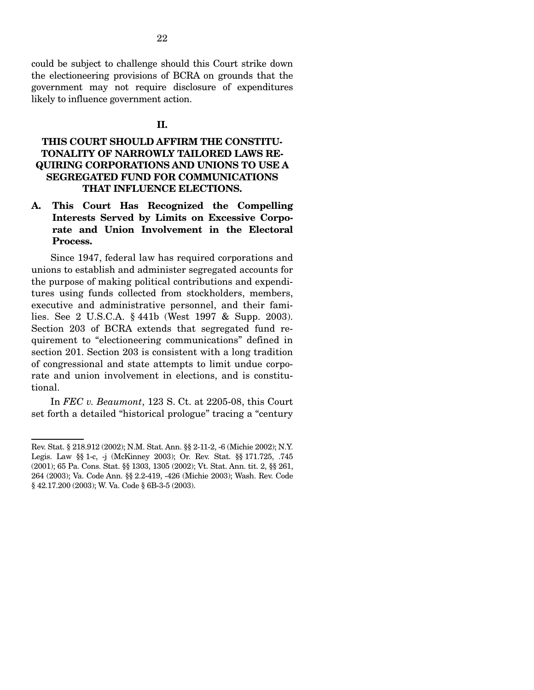could be subject to challenge should this Court strike down the electioneering provisions of BCRA on grounds that the government may not require disclosure of expenditures likely to influence government action.

#### **II.**

### **THIS COURT SHOULD AFFIRM THE CONSTITU-TONALITY OF NARROWLY TAILORED LAWS RE-QUIRING CORPORATIONS AND UNIONS TO USE A SEGREGATED FUND FOR COMMUNICATIONS THAT INFLUENCE ELECTIONS.**

**A. This Court Has Recognized the Compelling Interests Served by Limits on Excessive Corporate and Union Involvement in the Electoral Process.** 

Since 1947, federal law has required corporations and unions to establish and administer segregated accounts for the purpose of making political contributions and expenditures using funds collected from stockholders, members, executive and administrative personnel, and their families. See 2 U.S.C.A. § 441b (West 1997 & Supp. 2003). Section 203 of BCRA extends that segregated fund requirement to "electioneering communications" defined in section 201. Section 203 is consistent with a long tradition of congressional and state attempts to limit undue corporate and union involvement in elections, and is constitutional.

In *FEC v. Beaumont*, 123 S. Ct. at 2205-08, this Court set forth a detailed "historical prologue" tracing a "century

Rev. Stat. § 218.912 (2002); N.M. Stat. Ann. §§ 2-11-2, -6 (Michie 2002); N.Y. Legis. Law §§ 1-c, -j (McKinney 2003); Or. Rev. Stat. §§ 171.725, .745 (2001); 65 Pa. Cons. Stat. §§ 1303, 1305 (2002); Vt. Stat. Ann. tit. 2, §§ 261, 264 (2003); Va. Code Ann. §§ 2.2-419, -426 (Michie 2003); Wash. Rev. Code § 42.17.200 (2003); W. Va. Code § 6B-3-5 (2003).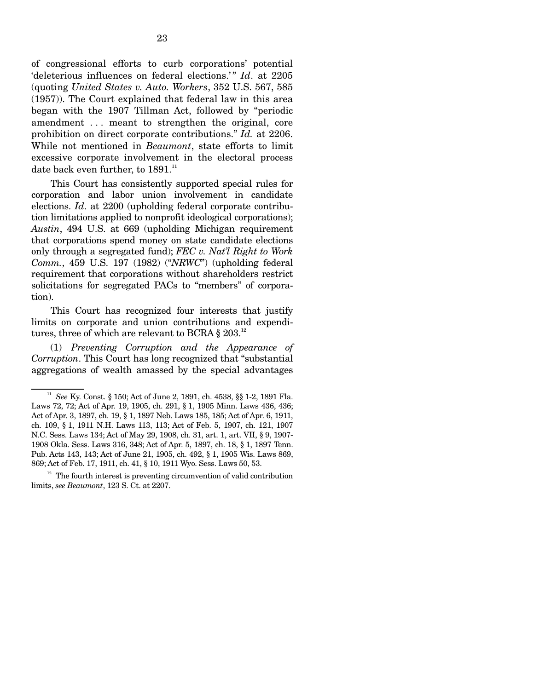of congressional efforts to curb corporations' potential 'deleterious influences on federal elections.'" *Id.* at 2205 (quoting *United States v. Auto. Workers*, 352 U.S. 567, 585 (1957)). The Court explained that federal law in this area began with the 1907 Tillman Act, followed by "periodic amendment . . . meant to strengthen the original, core prohibition on direct corporate contributions." *Id.* at 2206. While not mentioned in *Beaumont*, state efforts to limit excessive corporate involvement in the electoral process date back even further, to 1891.<sup>11</sup>

This Court has consistently supported special rules for corporation and labor union involvement in candidate elections. *Id*. at 2200 (upholding federal corporate contribution limitations applied to nonprofit ideological corporations); *Austin*, 494 U.S. at 669 (upholding Michigan requirement that corporations spend money on state candidate elections only through a segregated fund); *FEC v. Nat'l Right to Work Comm.*, 459 U.S. 197 (1982) ("*NRWC*") (upholding federal requirement that corporations without shareholders restrict solicitations for segregated PACs to "members" of corporation).

This Court has recognized four interests that justify limits on corporate and union contributions and expenditures, three of which are relevant to BCRA  $\S 203$ .<sup>12</sup>

(1) *Preventing Corruption and the Appearance of Corruption*. This Court has long recognized that "substantial aggregations of wealth amassed by the special advantages

<sup>11</sup>*See* Ky. Const. § 150; Act of June 2, 1891, ch. 4538, §§ 1-2, 1891 Fla. Laws 72, 72; Act of Apr. 19, 1905, ch. 291, § 1, 1905 Minn. Laws 436, 436; Act of Apr. 3, 1897, ch. 19, § 1, 1897 Neb. Laws 185, 185; Act of Apr. 6, 1911, ch. 109, § 1, 1911 N.H. Laws 113, 113; Act of Feb. 5, 1907, ch. 121, 1907 N.C. Sess. Laws 134; Act of May 29, 1908, ch. 31, art. 1, art. VII, § 9, 1907- 1908 Okla. Sess. Laws 316, 348; Act of Apr. 5, 1897, ch. 18, § 1, 1897 Tenn. Pub. Acts 143, 143; Act of June 21, 1905, ch. 492, § 1, 1905 Wis. Laws 869, 869; Act of Feb. 17, 1911, ch. 41, § 10, 1911 Wyo. Sess. Laws 50, 53.

 $12$  The fourth interest is preventing circumvention of valid contribution limits, *see Beaumont*, 123 S. Ct. at 2207.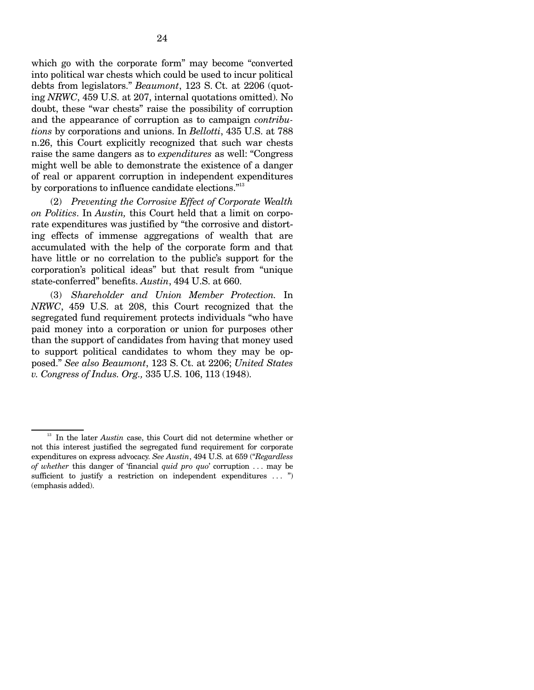which go with the corporate form" may become "converted into political war chests which could be used to incur political debts from legislators." *Beaumont*, 123 S. Ct. at 2206 (quoting *NRWC*, 459 U.S. at 207, internal quotations omitted). No doubt, these "war chests" raise the possibility of corruption and the appearance of corruption as to campaign *contributions* by corporations and unions. In *Bellotti*, 435 U.S. at 788 n.26, this Court explicitly recognized that such war chests raise the same dangers as to *expenditures* as well: "Congress might well be able to demonstrate the existence of a danger of real or apparent corruption in independent expenditures by corporations to influence candidate elections."<sup>13</sup>

(2) *Preventing the Corrosive Effect of Corporate Wealth on Politics*. In *Austin,* this Court held that a limit on corporate expenditures was justified by "the corrosive and distorting effects of immense aggregations of wealth that are accumulated with the help of the corporate form and that have little or no correlation to the public's support for the corporation's political ideas" but that result from "unique state-conferred" benefits. *Austin*, 494 U.S. at 660.

(3) *Shareholder and Union Member Protection.* In *NRWC*, 459 U.S. at 208, this Court recognized that the segregated fund requirement protects individuals "who have paid money into a corporation or union for purposes other than the support of candidates from having that money used to support political candidates to whom they may be opposed." *See also Beaumont*, 123 S. Ct. at 2206; *United States v. Congress of Indus. Org.,* 335 U.S. 106, 113 (1948).

<sup>&</sup>lt;sup>13</sup> In the later *Austin* case, this Court did not determine whether or not this interest justified the segregated fund requirement for corporate expenditures on express advocacy. *See Austin*, 494 U.S. at 659 ("*Regardless of whether* this danger of 'financial *quid pro quo*' corruption . . . may be sufficient to justify a restriction on independent expenditures ... ") (emphasis added).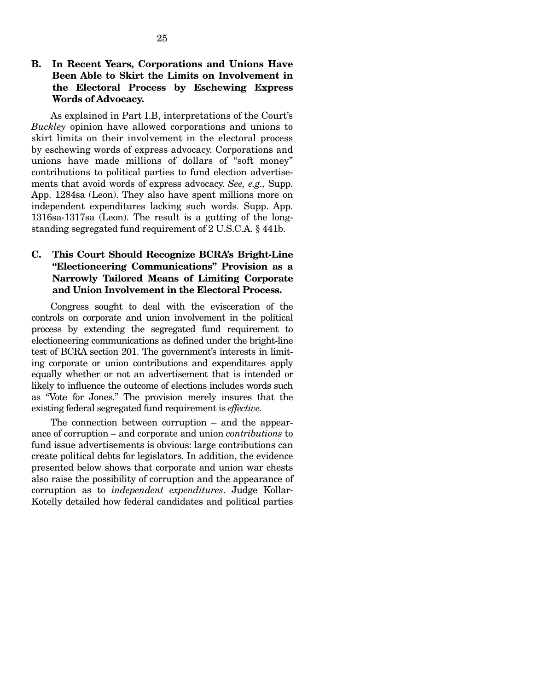As explained in Part I.B, interpretations of the Court's *Buckley* opinion have allowed corporations and unions to skirt limits on their involvement in the electoral process by eschewing words of express advocacy. Corporations and unions have made millions of dollars of "soft money" contributions to political parties to fund election advertisements that avoid words of express advocacy. *See, e.g.,* Supp. App. 1284sa (Leon). They also have spent millions more on independent expenditures lacking such words. Supp. App. 1316sa-1317sa (Leon). The result is a gutting of the longstanding segregated fund requirement of 2 U.S.C.A. § 441b.

### **C. This Court Should Recognize BCRA's Bright-Line "Electioneering Communications" Provision as a Narrowly Tailored Means of Limiting Corporate and Union Involvement in the Electoral Process.**

Congress sought to deal with the evisceration of the controls on corporate and union involvement in the political process by extending the segregated fund requirement to electioneering communications as defined under the bright-line test of BCRA section 201. The government's interests in limiting corporate or union contributions and expenditures apply equally whether or not an advertisement that is intended or likely to influence the outcome of elections includes words such as "Vote for Jones." The provision merely insures that the existing federal segregated fund requirement is *effective.* 

The connection between corruption – and the appearance of corruption – and corporate and union *contributions* to fund issue advertisements is obvious: large contributions can create political debts for legislators. In addition, the evidence presented below shows that corporate and union war chests also raise the possibility of corruption and the appearance of corruption as to *independent expenditures*. Judge Kollar-Kotelly detailed how federal candidates and political parties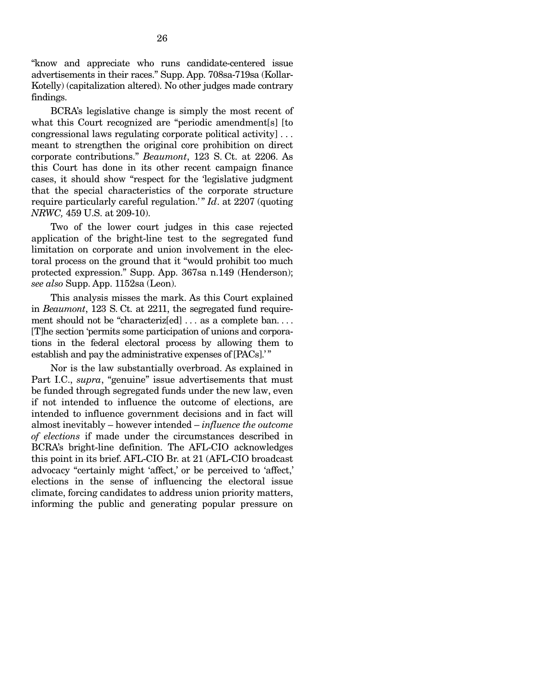"know and appreciate who runs candidate-centered issue advertisements in their races." Supp. App. 708sa-719sa (Kollar-Kotelly) (capitalization altered). No other judges made contrary findings.

BCRA's legislative change is simply the most recent of what this Court recognized are "periodic amendment[s] [to congressional laws regulating corporate political activity] . . . meant to strengthen the original core prohibition on direct corporate contributions." *Beaumont*, 123 S. Ct. at 2206. As this Court has done in its other recent campaign finance cases, it should show "respect for the 'legislative judgment that the special characteristics of the corporate structure require particularly careful regulation.'" *Id.* at 2207 (quoting *NRWC,* 459 U.S. at 209-10).

Two of the lower court judges in this case rejected application of the bright-line test to the segregated fund limitation on corporate and union involvement in the electoral process on the ground that it "would prohibit too much protected expression." Supp. App. 367sa n.149 (Henderson); *see also* Supp. App. 1152sa (Leon).

This analysis misses the mark. As this Court explained in *Beaumont*, 123 S. Ct. at 2211, the segregated fund requirement should not be "characteriz[ed] ... as a complete ban.... [T]he section 'permits some participation of unions and corporations in the federal electoral process by allowing them to establish and pay the administrative expenses of [PACs].'"

Nor is the law substantially overbroad. As explained in Part I.C., *supra*, "genuine" issue advertisements that must be funded through segregated funds under the new law, even if not intended to influence the outcome of elections, are intended to influence government decisions and in fact will almost inevitably – however intended – *influence the outcome of elections* if made under the circumstances described in BCRA's bright-line definition. The AFL-CIO acknowledges this point in its brief. AFL-CIO Br. at 21 (AFL-CIO broadcast advocacy "certainly might 'affect,' or be perceived to 'affect,' elections in the sense of influencing the electoral issue climate, forcing candidates to address union priority matters, informing the public and generating popular pressure on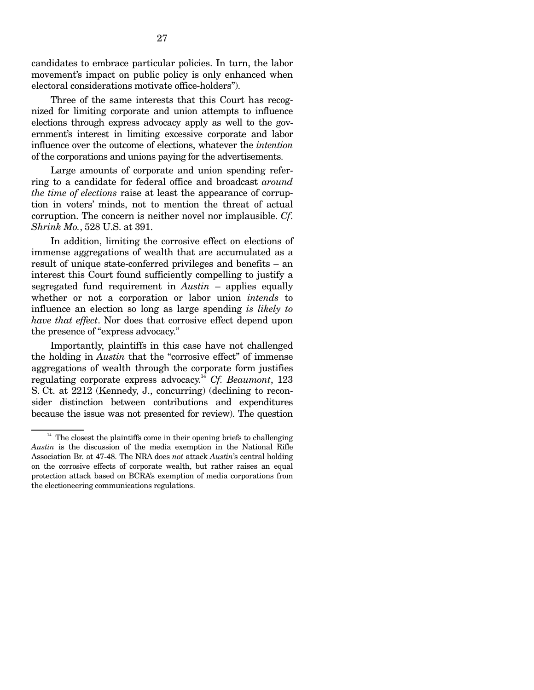candidates to embrace particular policies. In turn, the labor movement's impact on public policy is only enhanced when electoral considerations motivate office-holders").

Three of the same interests that this Court has recognized for limiting corporate and union attempts to influence elections through express advocacy apply as well to the government's interest in limiting excessive corporate and labor influence over the outcome of elections, whatever the *intention*  of the corporations and unions paying for the advertisements.

Large amounts of corporate and union spending referring to a candidate for federal office and broadcast *around the time of elections* raise at least the appearance of corruption in voters' minds, not to mention the threat of actual corruption. The concern is neither novel nor implausible. *Cf*. *Shrink Mo.*, 528 U.S. at 391.

In addition, limiting the corrosive effect on elections of immense aggregations of wealth that are accumulated as a result of unique state-conferred privileges and benefits – an interest this Court found sufficiently compelling to justify a segregated fund requirement in *Austin* – applies equally whether or not a corporation or labor union *intends* to influence an election so long as large spending *is likely to have that effect*. Nor does that corrosive effect depend upon the presence of "express advocacy."

Importantly, plaintiffs in this case have not challenged the holding in *Austin* that the "corrosive effect" of immense aggregations of wealth through the corporate form justifies regulating corporate express advocacy.<sup>14</sup> Cf. Beaumont, 123 S. Ct. at 2212 (Kennedy, J., concurring) (declining to reconsider distinction between contributions and expenditures because the issue was not presented for review). The question

 $14$  The closest the plaintiffs come in their opening briefs to challenging *Austin* is the discussion of the media exemption in the National Rifle Association Br. at 47-48. The NRA does *not* attack *Austin*'s central holding on the corrosive effects of corporate wealth, but rather raises an equal protection attack based on BCRA's exemption of media corporations from the electioneering communications regulations.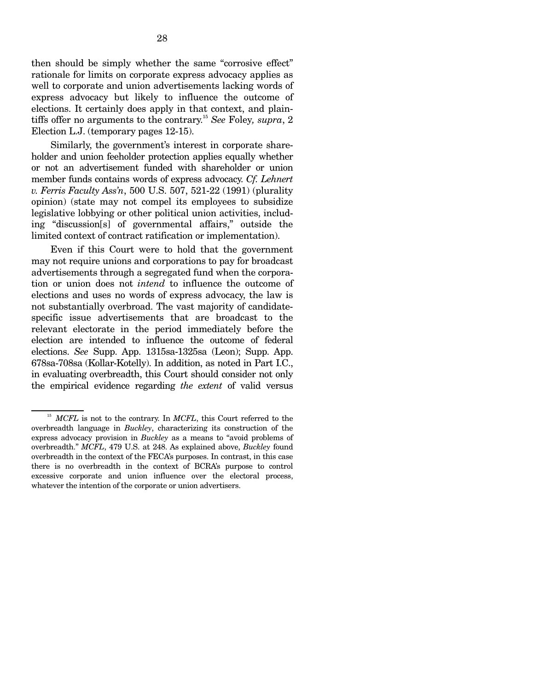then should be simply whether the same "corrosive effect" rationale for limits on corporate express advocacy applies as well to corporate and union advertisements lacking words of express advocacy but likely to influence the outcome of elections. It certainly does apply in that context, and plaintiffs offer no arguments to the contrary. <sup>15</sup>*See* Foley*, supra*, 2 Election L.J. (temporary pages 12-15).

Similarly, the government's interest in corporate shareholder and union feeholder protection applies equally whether or not an advertisement funded with shareholder or union member funds contains words of express advocacy. *Cf. Lehnert v. Ferris Faculty Ass'n*, 500 U.S. 507, 521-22 (1991) (plurality opinion) (state may not compel its employees to subsidize legislative lobbying or other political union activities, including "discussion[s] of governmental affairs," outside the limited context of contract ratification or implementation).

Even if this Court were to hold that the government may not require unions and corporations to pay for broadcast advertisements through a segregated fund when the corporation or union does not *intend* to influence the outcome of elections and uses no words of express advocacy, the law is not substantially overbroad. The vast majority of candidatespecific issue advertisements that are broadcast to the relevant electorate in the period immediately before the election are intended to influence the outcome of federal elections. *See* Supp. App. 1315sa-1325sa (Leon); Supp. App. 678sa-708sa (Kollar-Kotelly). In addition, as noted in Part I.C., in evaluating overbreadth, this Court should consider not only the empirical evidence regarding *the extent* of valid versus

<sup>&</sup>lt;sup>15</sup> MCFL is not to the contrary. In *MCFL*, this Court referred to the overbreadth language in *Buckley*, characterizing its construction of the express advocacy provision in *Buckley* as a means to "avoid problems of overbreadth." *MCFL*, 479 U.S. at 248. As explained above, *Buckley* found overbreadth in the context of the FECA's purposes. In contrast, in this case there is no overbreadth in the context of BCRA's purpose to control excessive corporate and union influence over the electoral process, whatever the intention of the corporate or union advertisers.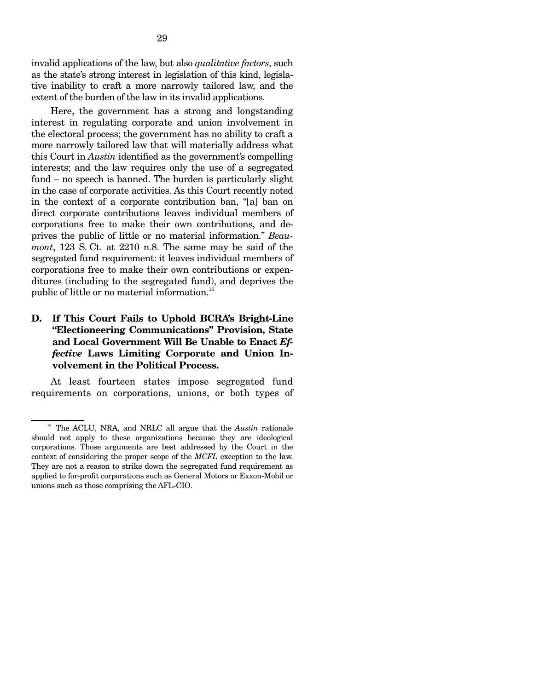invalid applications of the law, but also *qualitative factors*, such as the state's strong interest in legislation of this kind, legislative inability to craft a more narrowly tailored law, and the extent of the burden of the law in its invalid applications.

Here, the government has a strong and longstanding interest in regulating corporate and union involvement in the electoral process; the government has no ability to craft a more narrowly tailored law that will materially address what this Court in *Austin* identified as the government's compelling interests; and the law requires only the use of a segregated fund – no speech is banned. The burden is particularly slight in the case of corporate activities. As this Court recently noted in the context of a corporate contribution ban, "[a] ban on direct corporate contributions leaves individual members of corporations free to make their own contributions, and deprives the public of little or no material information." *Beaumont*, 123 S. Ct. at 2210 n.8. The same may be said of the segregated fund requirement: it leaves individual members of corporations free to make their own contributions or expenditures (including to the segregated fund), and deprives the public of little or no material information.<sup>16</sup>

### **D. If This Court Fails to Uphold BCRA's Bright-Line "Electioneering Communications" Provision, State and Local Government Will Be Unable to Enact** *Effective* **Laws Limiting Corporate and Union Involvement in the Political Process.**

At least fourteen states impose segregated fund requirements on corporations, unions, or both types of

<sup>&</sup>lt;sup>16</sup> The ACLU, NRA, and NRLC all argue that the *Austin* rationale should not apply to these organizations because they are ideological corporations. Those arguments are best addressed by the Court in the context of considering the proper scope of the *MCFL* exception to the law. They are not a reason to strike down the segregated fund requirement as applied to for-profit corporations such as General Motors or Exxon-Mobil or unions such as those comprising the AFL-CIO.